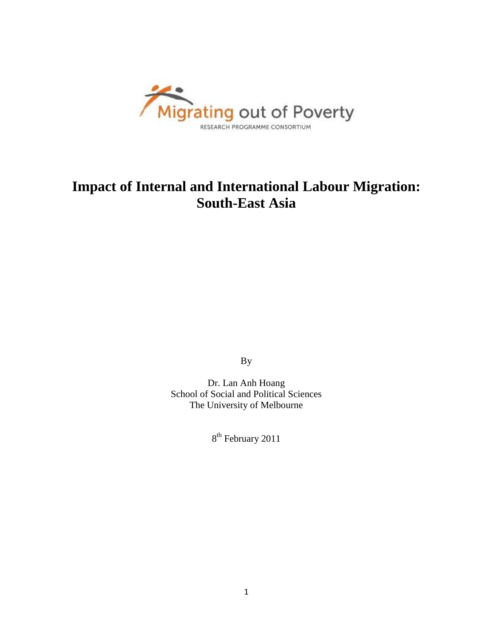

# **Impact of Internal and International Labour Migration: South-East Asia**

By

Dr. Lan Anh Hoang School of Social and Political Sciences The University of Melbourne

8<sup>th</sup> February 2011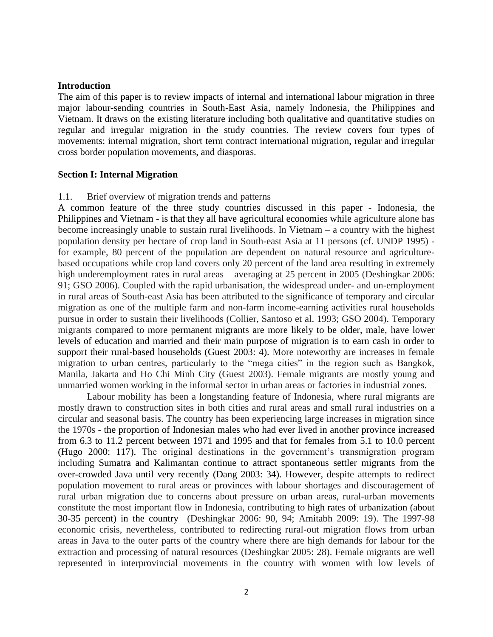## **Introduction**

The aim of this paper is to review impacts of internal and international labour migration in three major labour-sending countries in South-East Asia, namely Indonesia, the Philippines and Vietnam. It draws on the existing literature including both qualitative and quantitative studies on regular and irregular migration in the study countries. The review covers four types of movements: internal migration, short term contract international migration, regular and irregular cross border population movements, and diasporas.

#### **Section I: Internal Migration**

#### 1.1. Brief overview of migration trends and patterns

A common feature of the three study countries discussed in this paper - Indonesia, the Philippines and Vietnam - is that they all have agricultural economies while agriculture alone has become increasingly unable to sustain rural livelihoods. In Vietnam – a country with the highest population density per hectare of crop land in South-east Asia at 11 persons (cf. UNDP 1995) for example, 80 percent of the population are dependent on natural resource and agriculturebased occupations while crop land covers only 20 percent of the land area resulting in extremely high underemployment rates in rural areas – averaging at 25 percent in 2005 (Deshingkar 2006: 91; GSO 2006). Coupled with the rapid urbanisation, the widespread under- and un-employment in rural areas of South-east Asia has been attributed to the significance of temporary and circular migration as one of the multiple farm and non-farm income-earning activities rural households pursue in order to sustain their livelihoods (Collier, Santoso et al. 1993; GSO 2004). Temporary migrants compared to more permanent migrants are more likely to be older, male, have lower levels of education and married and their main purpose of migration is to earn cash in order to support their rural-based households (Guest 2003: 4). More noteworthy are increases in female migration to urban centres, particularly to the "mega cities" in the region such as Bangkok, Manila, Jakarta and Ho Chi Minh City (Guest 2003). Female migrants are mostly young and unmarried women working in the informal sector in urban areas or factories in industrial zones.

Labour mobility has been a longstanding feature of Indonesia, where rural migrants are mostly drawn to construction sites in both cities and rural areas and small rural industries on a circular and seasonal basis. The country has been experiencing large increases in migration since the 1970s - the proportion of Indonesian males who had ever lived in another province increased from 6.3 to 11.2 percent between 1971 and 1995 and that for females from 5.1 to 10.0 percent (Hugo 2000: 117). The original destinations in the government's transmigration program including Sumatra and Kalimantan continue to attract spontaneous settler migrants from the over-crowded Java until very recently (Dang 2003: 34). However, despite attempts to redirect population movement to rural areas or provinces with labour shortages and discouragement of rural–urban migration due to concerns about pressure on urban areas, rural-urban movements constitute the most important flow in Indonesia, contributing to high rates of urbanization (about 30-35 percent) in the country (Deshingkar 2006: 90, 94; Amitabh 2009: 19). The 1997-98 economic crisis, nevertheless, contributed to redirecting rural-out migration flows from urban areas in Java to the outer parts of the country where there are high demands for labour for the extraction and processing of natural resources (Deshingkar 2005: 28). Female migrants are well represented in interprovincial movements in the country with women with low levels of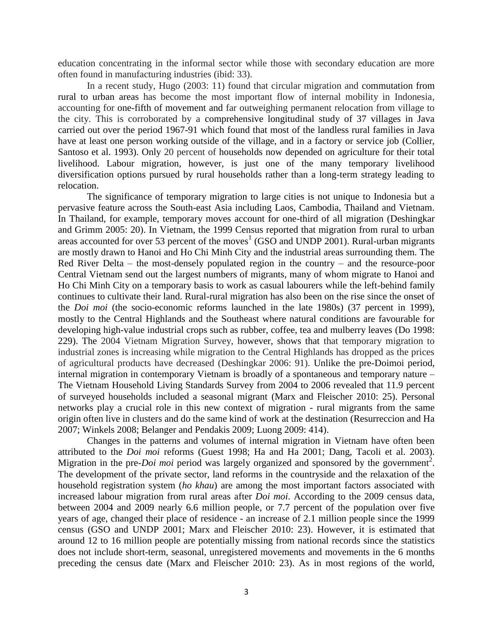education concentrating in the informal sector while those with secondary education are more often found in manufacturing industries (ibid: 33).

In a recent study, Hugo (2003: 11) found that circular migration and commutation from rural to urban areas has become the most important flow of internal mobility in Indonesia, accounting for one-fifth of movement and far outweighing permanent relocation from village to the city. This is corroborated by a comprehensive longitudinal study of 37 villages in Java carried out over the period 1967-91 which found that most of the landless rural families in Java have at least one person working outside of the village, and in a factory or service job (Collier, Santoso et al. 1993). Only 20 percent of households now depended on agriculture for their total livelihood. Labour migration, however, is just one of the many temporary livelihood diversification options pursued by rural households rather than a long-term strategy leading to relocation.

The significance of temporary migration to large cities is not unique to Indonesia but a pervasive feature across the South-east Asia including Laos, Cambodia, Thailand and Vietnam. In Thailand, for example, temporary moves account for one-third of all migration (Deshingkar and Grimm 2005: 20). In Vietnam, the 1999 Census reported that migration from rural to urban areas accounted for over 53 percent of the moves<sup>1</sup> (GSO and UNDP 2001). Rural-urban migrants are mostly drawn to Hanoi and Ho Chi Minh City and the industrial areas surrounding them. The Red River Delta – the most-densely populated region in the country – and the resource-poor Central Vietnam send out the largest numbers of migrants, many of whom migrate to Hanoi and Ho Chi Minh City on a temporary basis to work as casual labourers while the left-behind family continues to cultivate their land. Rural-rural migration has also been on the rise since the onset of the *Doi moi* (the socio-economic reforms launched in the late 1980s) (37 percent in 1999), mostly to the Central Highlands and the Southeast where natural conditions are favourable for developing high-value industrial crops such as rubber, coffee, tea and mulberry leaves (Do 1998: 229). The 2004 Vietnam Migration Survey, however, shows that that temporary migration to industrial zones is increasing while migration to the Central Highlands has dropped as the prices of agricultural products have decreased (Deshingkar 2006: 91). Unlike the pre-Doimoi period, internal migration in contemporary Vietnam is broadly of a spontaneous and temporary nature – The Vietnam Household Living Standards Survey from 2004 to 2006 revealed that 11.9 percent of surveyed households included a seasonal migrant (Marx and Fleischer 2010: 25). Personal networks play a crucial role in this new context of migration - rural migrants from the same origin often live in clusters and do the same kind of work at the destination (Resurreccion and Ha 2007; Winkels 2008; Belanger and Pendakis 2009; Luong 2009: 414).

Changes in the patterns and volumes of internal migration in Vietnam have often been attributed to the *Doi moi* reforms (Guest 1998; Ha and Ha 2001; Dang, Tacoli et al. 2003). Migration in the pre-*Doi moi* period was largely organized and sponsored by the government<sup>2</sup>. The development of the private sector, land reforms in the countryside and the relaxation of the household registration system (*ho khau*) are among the most important factors associated with increased labour migration from rural areas after *Doi moi*. According to the 2009 census data, between 2004 and 2009 nearly 6.6 million people, or 7.7 percent of the population over five years of age, changed their place of residence - an increase of 2.1 million people since the 1999 census (GSO and UNDP 2001; Marx and Fleischer 2010: 23). However, it is estimated that around 12 to 16 million people are potentially missing from national records since the statistics does not include short-term, seasonal, unregistered movements and movements in the 6 months preceding the census date (Marx and Fleischer 2010: 23). As in most regions of the world,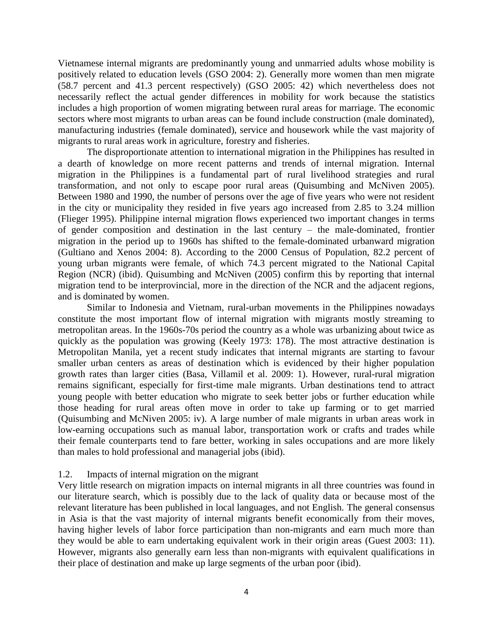Vietnamese internal migrants are predominantly young and unmarried adults whose mobility is positively related to education levels (GSO 2004: 2). Generally more women than men migrate (58.7 percent and 41.3 percent respectively) (GSO 2005: 42) which nevertheless does not necessarily reflect the actual gender differences in mobility for work because the statistics includes a high proportion of women migrating between rural areas for marriage. The economic sectors where most migrants to urban areas can be found include construction (male dominated), manufacturing industries (female dominated), service and housework while the vast majority of migrants to rural areas work in agriculture, forestry and fisheries.

The disproportionate attention to international migration in the Philippines has resulted in a dearth of knowledge on more recent patterns and trends of internal migration. Internal migration in the Philippines is a fundamental part of rural livelihood strategies and rural transformation, and not only to escape poor rural areas (Quisumbing and McNiven 2005). Between 1980 and 1990, the number of persons over the age of five years who were not resident in the city or municipality they resided in five years ago increased from 2.85 to 3.24 million (Flieger 1995). Philippine internal migration flows experienced two important changes in terms of gender composition and destination in the last century – the male-dominated, frontier migration in the period up to 1960s has shifted to the female-dominated urbanward migration (Gultiano and Xenos 2004: 8). According to the 2000 Census of Population, 82.2 percent of young urban migrants were female, of which 74.3 percent migrated to the National Capital Region (NCR) (ibid). Quisumbing and McNiven (2005) confirm this by reporting that internal migration tend to be interprovincial, more in the direction of the NCR and the adjacent regions, and is dominated by women.

Similar to Indonesia and Vietnam, rural-urban movements in the Philippines nowadays constitute the most important flow of internal migration with migrants mostly streaming to metropolitan areas. In the 1960s-70s period the country as a whole was urbanizing about twice as quickly as the population was growing (Keely 1973: 178). The most attractive destination is Metropolitan Manila, yet a recent study indicates that internal migrants are starting to favour smaller urban centers as areas of destination which is evidenced by their higher population growth rates than larger cities (Basa, Villamil et al. 2009: 1). However, rural-rural migration remains significant, especially for first-time male migrants. Urban destinations tend to attract young people with better education who migrate to seek better jobs or further education while those heading for rural areas often move in order to take up farming or to get married (Quisumbing and McNiven 2005: iv). A large number of male migrants in urban areas work in low-earning occupations such as manual labor, transportation work or crafts and trades while their female counterparts tend to fare better, working in sales occupations and are more likely than males to hold professional and managerial jobs (ibid).

## 1.2. Impacts of internal migration on the migrant

Very little research on migration impacts on internal migrants in all three countries was found in our literature search, which is possibly due to the lack of quality data or because most of the relevant literature has been published in local languages, and not English. The general consensus in Asia is that the vast majority of internal migrants benefit economically from their moves, having higher levels of labor force participation than non-migrants and earn much more than they would be able to earn undertaking equivalent work in their origin areas (Guest 2003: 11). However, migrants also generally earn less than non-migrants with equivalent qualifications in their place of destination and make up large segments of the urban poor (ibid).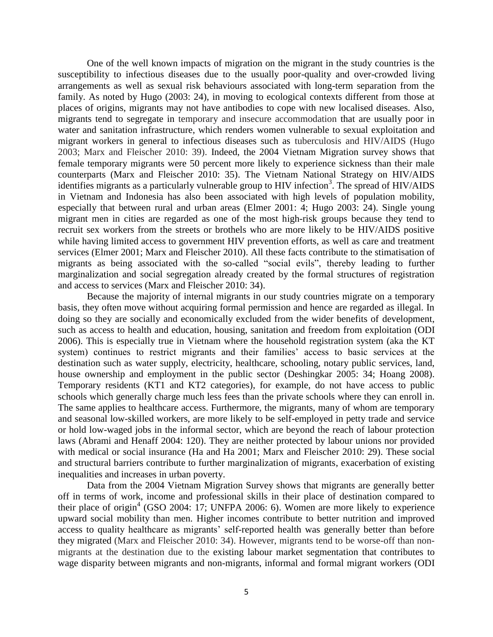One of the well known impacts of migration on the migrant in the study countries is the susceptibility to infectious diseases due to the usually poor-quality and over-crowded living arrangements as well as sexual risk behaviours associated with long-term separation from the family. As noted by Hugo (2003: 24), in moving to ecological contexts different from those at places of origins, migrants may not have antibodies to cope with new localised diseases. Also, migrants tend to segregate in temporary and insecure accommodation that are usually poor in water and sanitation infrastructure, which renders women vulnerable to sexual exploitation and migrant workers in general to infectious diseases such as tuberculosis and HIV/AIDS (Hugo 2003; Marx and Fleischer 2010: 39). Indeed, the 2004 Vietnam Migration survey shows that female temporary migrants were 50 percent more likely to experience sickness than their male counterparts (Marx and Fleischer 2010: 35). The Vietnam National Strategy on HIV/AIDS identifies migrants as a particularly vulnerable group to HIV infection<sup>3</sup>. The spread of HIV/AIDS in Vietnam and Indonesia has also been associated with high levels of population mobility, especially that between rural and urban areas (Elmer 2001: 4; Hugo 2003: 24). Single young migrant men in cities are regarded as one of the most high-risk groups because they tend to recruit sex workers from the streets or brothels who are more likely to be HIV/AIDS positive while having limited access to government HIV prevention efforts, as well as care and treatment services (Elmer 2001; Marx and Fleischer 2010). All these facts contribute to the stimatisation of migrants as being associated with the so-called "social evils", thereby leading to further marginalization and social segregation already created by the formal structures of registration and access to services (Marx and Fleischer 2010: 34).

Because the majority of internal migrants in our study countries migrate on a temporary basis, they often move without acquiring formal permission and hence are regarded as illegal. In doing so they are socially and economically excluded from the wider benefits of development, such as access to health and education, housing, sanitation and freedom from exploitation (ODI 2006). This is especially true in Vietnam where the household registration system (aka the KT system) continues to restrict migrants and their families' access to basic services at the destination such as water supply, electricity, healthcare, schooling, notary public services, land, house ownership and employment in the public sector (Deshingkar 2005: 34; Hoang 2008). Temporary residents (KT1 and KT2 categories), for example, do not have access to public schools which generally charge much less fees than the private schools where they can enroll in. The same applies to healthcare access. Furthermore, the migrants, many of whom are temporary and seasonal low-skilled workers, are more likely to be self-employed in petty trade and service or hold low-waged jobs in the informal sector, which are beyond the reach of labour protection laws (Abrami and Henaff 2004: 120). They are neither protected by labour unions nor provided with medical or social insurance (Ha and Ha 2001; Marx and Fleischer 2010: 29). These social and structural barriers contribute to further marginalization of migrants, exacerbation of existing inequalities and increases in urban poverty.

Data from the 2004 Vietnam Migration Survey shows that migrants are generally better off in terms of work, income and professional skills in their place of destination compared to their place of origin<sup>4</sup> (GSO 2004: 17; UNFPA 2006: 6). Women are more likely to experience upward social mobility than men. Higher incomes contribute to better nutrition and improved access to quality healthcare as migrants' self-reported health was generally better than before they migrated (Marx and Fleischer 2010: 34). However, migrants tend to be worse-off than nonmigrants at the destination due to the existing labour market segmentation that contributes to wage disparity between migrants and non-migrants, informal and formal migrant workers (ODI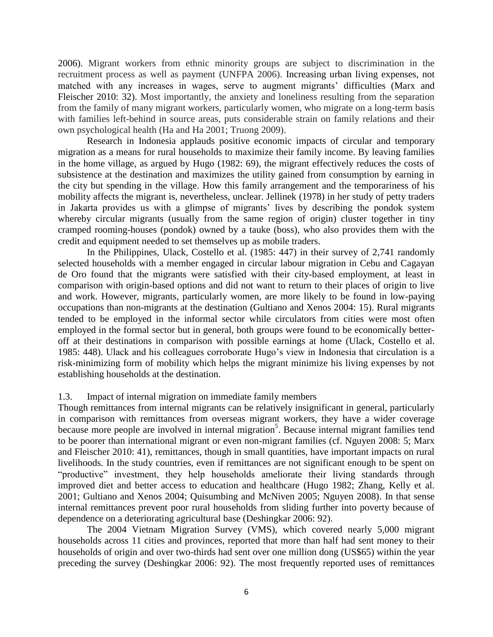2006). Migrant workers from ethnic minority groups are subject to discrimination in the recruitment process as well as payment (UNFPA 2006). Increasing urban living expenses, not matched with any increases in wages, serve to augment migrants' difficulties (Marx and Fleischer 2010: 32). Most importantly, the anxiety and loneliness resulting from the separation from the family of many migrant workers, particularly women, who migrate on a long-term basis with families left-behind in source areas, puts considerable strain on family relations and their own psychological health (Ha and Ha 2001; Truong 2009).

Research in Indonesia applauds positive economic impacts of circular and temporary migration as a means for rural households to maximize their family income. By leaving families in the home village, as argued by Hugo (1982: 69), the migrant effectively reduces the costs of subsistence at the destination and maximizes the utility gained from consumption by earning in the city but spending in the village. How this family arrangement and the temporariness of his mobility affects the migrant is, nevertheless, unclear. Jellinek (1978) in her study of petty traders in Jakarta provides us with a glimpse of migrants' lives by describing the pondok system whereby circular migrants (usually from the same region of origin) cluster together in tiny cramped rooming-houses (pondok) owned by a tauke (boss), who also provides them with the credit and equipment needed to set themselves up as mobile traders.

In the Philippines, Ulack, Costello et al. (1985: 447) in their survey of 2,741 randomly selected households with a member engaged in circular labour migration in Cebu and Cagayan de Oro found that the migrants were satisfied with their city-based employment, at least in comparison with origin-based options and did not want to return to their places of origin to live and work. However, migrants, particularly women, are more likely to be found in low-paying occupations than non-migrants at the destination (Gultiano and Xenos 2004: 15). Rural migrants tended to be employed in the informal sector while circulators from cities were most often employed in the formal sector but in general, both groups were found to be economically betteroff at their destinations in comparison with possible earnings at home (Ulack, Costello et al. 1985: 448). Ulack and his colleagues corroborate Hugo's view in Indonesia that circulation is a risk-minimizing form of mobility which helps the migrant minimize his living expenses by not establishing households at the destination.

## 1.3. Impact of internal migration on immediate family members

Though remittances from internal migrants can be relatively insignificant in general, particularly in comparison with remittances from overseas migrant workers, they have a wider coverage because more people are involved in internal migration<sup>5</sup>. Because internal migrant families tend to be poorer than international migrant or even non-migrant families (cf. Nguyen 2008: 5; Marx and Fleischer 2010: 41), remittances, though in small quantities, have important impacts on rural livelihoods. In the study countries, even if remittances are not significant enough to be spent on "productive" investment, they help households ameliorate their living standards through improved diet and better access to education and healthcare (Hugo 1982; Zhang, Kelly et al. 2001; Gultiano and Xenos 2004; Quisumbing and McNiven 2005; Nguyen 2008). In that sense internal remittances prevent poor rural households from sliding further into poverty because of dependence on a deteriorating agricultural base (Deshingkar 2006: 92).

The 2004 Vietnam Migration Survey (VMS), which covered nearly 5,000 migrant households across 11 cities and provinces, reported that more than half had sent money to their households of origin and over two-thirds had sent over one million dong (US\$65) within the year preceding the survey (Deshingkar 2006: 92). The most frequently reported uses of remittances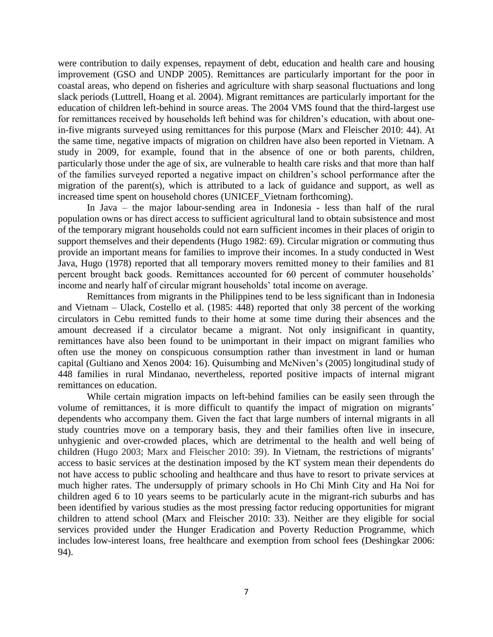were contribution to daily expenses, repayment of debt, education and health care and housing improvement (GSO and UNDP 2005). Remittances are particularly important for the poor in coastal areas, who depend on fisheries and agriculture with sharp seasonal fluctuations and long slack periods (Luttrell, Hoang et al. 2004). Migrant remittances are particularly important for the education of children left-behind in source areas. The 2004 VMS found that the third-largest use for remittances received by households left behind was for children's education, with about onein-five migrants surveyed using remittances for this purpose (Marx and Fleischer 2010: 44). At the same time, negative impacts of migration on children have also been reported in Vietnam. A study in 2009, for example, found that in the absence of one or both parents, children, particularly those under the age of six, are vulnerable to health care risks and that more than half of the families surveyed reported a negative impact on children's school performance after the migration of the parent(s), which is attributed to a lack of guidance and support, as well as increased time spent on household chores (UNICEF\_Vietnam forthcoming).

In Java – the major labour-sending area in Indonesia - less than half of the rural population owns or has direct access to sufficient agricultural land to obtain subsistence and most of the temporary migrant households could not earn sufficient incomes in their places of origin to support themselves and their dependents (Hugo 1982: 69). Circular migration or commuting thus provide an important means for families to improve their incomes. In a study conducted in West Java, Hugo (1978) reported that all temporary movers remitted money to their families and 81 percent brought back goods. Remittances accounted for 60 percent of commuter households' income and nearly half of circular migrant households' total income on average.

Remittances from migrants in the Philippines tend to be less significant than in Indonesia and Vietnam – Ulack, Costello et al. (1985:  $\frac{1}{448}$ ) reported that only 38 percent of the working circulators in Cebu remitted funds to their home at some time during their absences and the amount decreased if a circulator became a migrant. Not only insignificant in quantity, remittances have also been found to be unimportant in their impact on migrant families who often use the money on conspicuous consumption rather than investment in land or human capital (Gultiano and Xenos 2004: 16). Quisumbing and McNiven's (2005) longitudinal study of 448 families in rural Mindanao, nevertheless, reported positive impacts of internal migrant remittances on education.

While certain migration impacts on left-behind families can be easily seen through the volume of remittances, it is more difficult to quantify the impact of migration on migrants' dependents who accompany them. Given the fact that large numbers of internal migrants in all study countries move on a temporary basis, they and their families often live in insecure, unhygienic and over-crowded places, which are detrimental to the health and well being of children (Hugo 2003; Marx and Fleischer 2010: 39). In Vietnam, the restrictions of migrants' access to basic services at the destination imposed by the KT system mean their dependents do not have access to public schooling and healthcare and thus have to resort to private services at much higher rates. The undersupply of primary schools in Ho Chi Minh City and Ha Noi for children aged 6 to 10 years seems to be particularly acute in the migrant-rich suburbs and has been identified by various studies as the most pressing factor reducing opportunities for migrant children to attend school (Marx and Fleischer 2010: 33). Neither are they eligible for social services provided under the Hunger Eradication and Poverty Reduction Programme, which includes low-interest loans, free healthcare and exemption from school fees (Deshingkar 2006: 94).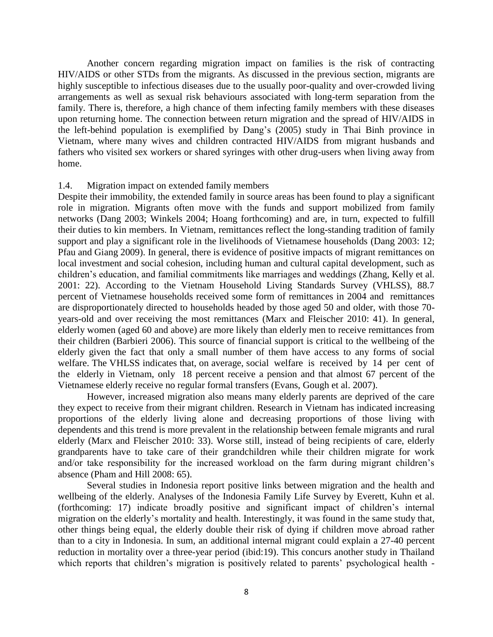Another concern regarding migration impact on families is the risk of contracting HIV/AIDS or other STDs from the migrants. As discussed in the previous section, migrants are highly susceptible to infectious diseases due to the usually poor-quality and over-crowded living arrangements as well as sexual risk behaviours associated with long-term separation from the family. There is, therefore, a high chance of them infecting family members with these diseases upon returning home. The connection between return migration and the spread of HIV/AIDS in the left-behind population is exemplified by Dang's (2005) study in Thai Binh province in Vietnam, where many wives and children contracted HIV/AIDS from migrant husbands and fathers who visited sex workers or shared syringes with other drug-users when living away from home.

## 1.4. Migration impact on extended family members

Despite their immobility, the extended family in source areas has been found to play a significant role in migration. Migrants often move with the funds and support mobilized from family networks (Dang 2003; Winkels 2004; Hoang forthcoming) and are, in turn, expected to fulfill their duties to kin members. In Vietnam, remittances reflect the long-standing tradition of family support and play a significant role in the livelihoods of Vietnamese households (Dang 2003: 12; Pfau and Giang 2009). In general, there is evidence of positive impacts of migrant remittances on local investment and social cohesion, including human and cultural capital development, such as children's education, and familial commitments like marriages and weddings (Zhang, Kelly et al. 2001: 22). According to the Vietnam Household Living Standards Survey (VHLSS), 88.7 percent of Vietnamese households received some form of remittances in 2004 and remittances are disproportionately directed to households headed by those aged 50 and older, with those 70 years-old and over receiving the most remittances (Marx and Fleischer 2010: 41). In general, elderly women (aged 60 and above) are more likely than elderly men to receive remittances from their children (Barbieri 2006). This source of financial support is critical to the wellbeing of the elderly given the fact that only a small number of them have access to any forms of social welfare. The VHLSS indicates that, on average, social welfare is received by 14 per cent of the elderly in Vietnam, only 18 percent receive a pension and that almost 67 percent of the Vietnamese elderly receive no regular formal transfers (Evans, Gough et al. 2007).

However, increased migration also means many elderly parents are deprived of the care they expect to receive from their migrant children. Research in Vietnam has indicated increasing proportions of the elderly living alone and decreasing proportions of those living with dependents and this trend is more prevalent in the relationship between female migrants and rural elderly (Marx and Fleischer 2010: 33). Worse still, instead of being recipients of care, elderly grandparents have to take care of their grandchildren while their children migrate for work and/or take responsibility for the increased workload on the farm during migrant children's absence (Pham and Hill 2008: 65).

Several studies in Indonesia report positive links between migration and the health and wellbeing of the elderly. Analyses of the Indonesia Family Life Survey by Everett, Kuhn et al. (forthcoming: 17) indicate broadly positive and significant impact of children's internal migration on the elderly's mortality and health. Interestingly, it was found in the same study that, other things being equal, the elderly double their risk of dying if children move abroad rather than to a city in Indonesia. In sum, an additional internal migrant could explain a 27-40 percent reduction in mortality over a three-year period (ibid:19). This concurs another study in Thailand which reports that children's migration is positively related to parents' psychological health -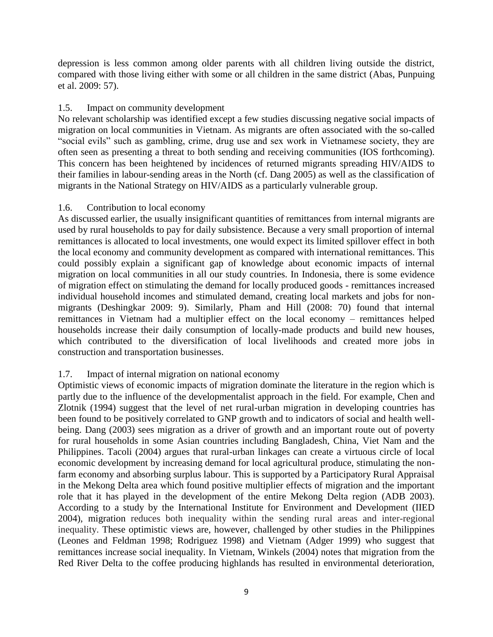depression is less common among older parents with all children living outside the district, compared with those living either with some or all children in the same district (Abas, Punpuing et al. 2009: 57).

# 1.5. Impact on community development

No relevant scholarship was identified except a few studies discussing negative social impacts of migration on local communities in Vietnam. As migrants are often associated with the so-called "social evils" such as gambling, crime, drug use and sex work in Vietnamese society, they are often seen as presenting a threat to both sending and receiving communities (IOS forthcoming). This concern has been heightened by incidences of returned migrants spreading HIV/AIDS to their families in labour-sending areas in the North (cf. Dang 2005) as well as the classification of migrants in the National Strategy on HIV/AIDS as a particularly vulnerable group.

# 1.6. Contribution to local economy

As discussed earlier, the usually insignificant quantities of remittances from internal migrants are used by rural households to pay for daily subsistence. Because a very small proportion of internal remittances is allocated to local investments, one would expect its limited spillover effect in both the local economy and community development as compared with international remittances. This could possibly explain a significant gap of knowledge about economic impacts of internal migration on local communities in all our study countries. In Indonesia, there is some evidence of migration effect on stimulating the demand for locally produced goods - remittances increased individual household incomes and stimulated demand, creating local markets and jobs for nonmigrants (Deshingkar 2009: 9). Similarly, Pham and Hill (2008: 70) found that internal remittances in Vietnam had a multiplier effect on the local economy – remittances helped households increase their daily consumption of locally-made products and build new houses, which contributed to the diversification of local livelihoods and created more jobs in construction and transportation businesses.

# 1.7. Impact of internal migration on national economy

Optimistic views of economic impacts of migration dominate the literature in the region which is partly due to the influence of the developmentalist approach in the field. For example, Chen and Zlotnik (1994) suggest that the level of net rural-urban migration in developing countries has been found to be positively correlated to GNP growth and to indicators of social and health wellbeing. Dang (2003) sees migration as a driver of growth and an important route out of poverty for rural households in some Asian countries including Bangladesh, China, Viet Nam and the Philippines. Tacoli (2004) argues that rural-urban linkages can create a virtuous circle of local economic development by increasing demand for local agricultural produce, stimulating the nonfarm economy and absorbing surplus labour. This is supported by a Participatory Rural Appraisal in the Mekong Delta area which found positive multiplier effects of migration and the important role that it has played in the development of the entire Mekong Delta region (ADB 2003). According to a study by the International Institute for Environment and Development (IIED 2004), migration reduces both inequality within the sending rural areas and inter-regional inequality. These optimistic views are, however, challenged by other studies in the Philippines (Leones and Feldman 1998; Rodriguez 1998) and Vietnam (Adger 1999) who suggest that remittances increase social inequality. In Vietnam, Winkels (2004) notes that migration from the Red River Delta to the coffee producing highlands has resulted in environmental deterioration,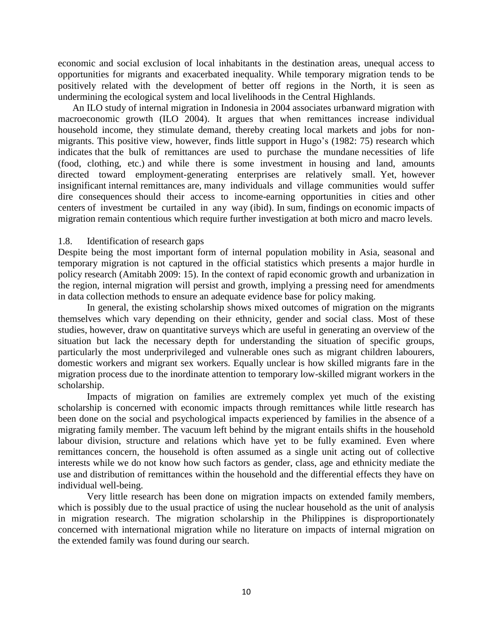economic and social exclusion of local inhabitants in the destination areas, unequal access to opportunities for migrants and exacerbated inequality. While temporary migration tends to be positively related with the development of better off regions in the North, it is seen as undermining the ecological system and local livelihoods in the Central Highlands.

An ILO study of internal migration in Indonesia in 2004 associates urbanward migration with macroeconomic growth (ILO 2004). It argues that when remittances increase individual household income, they stimulate demand, thereby creating local markets and jobs for nonmigrants. This positive view, however, finds little support in Hugo's (1982: 75) research which indicates that the bulk of remittances are used to purchase the mundane necessities of life (food, clothing, etc.) and while there is some investment in housing and land, amounts directed toward employment-generating enterprises are relatively small. Yet, however insignificant internal remittances are, many individuals and village communities would suffer dire consequences should their access to income-earning opportunities in cities and other centers of investment be curtailed in any way (ibid). In sum, findings on economic impacts of migration remain contentious which require further investigation at both micro and macro levels.

## 1.8. Identification of research gaps

Despite being the most important form of internal population mobility in Asia, seasonal and temporary migration is not captured in the official statistics which presents a major hurdle in policy research (Amitabh 2009: 15). In the context of rapid economic growth and urbanization in the region, internal migration will persist and growth, implying a pressing need for amendments in data collection methods to ensure an adequate evidence base for policy making.

In general, the existing scholarship shows mixed outcomes of migration on the migrants themselves which vary depending on their ethnicity, gender and social class. Most of these studies, however, draw on quantitative surveys which are useful in generating an overview of the situation but lack the necessary depth for understanding the situation of specific groups, particularly the most underprivileged and vulnerable ones such as migrant children labourers, domestic workers and migrant sex workers. Equally unclear is how skilled migrants fare in the migration process due to the inordinate attention to temporary low-skilled migrant workers in the scholarship.

Impacts of migration on families are extremely complex yet much of the existing scholarship is concerned with economic impacts through remittances while little research has been done on the social and psychological impacts experienced by families in the absence of a migrating family member. The vacuum left behind by the migrant entails shifts in the household labour division, structure and relations which have yet to be fully examined. Even where remittances concern, the household is often assumed as a single unit acting out of collective interests while we do not know how such factors as gender, class, age and ethnicity mediate the use and distribution of remittances within the household and the differential effects they have on individual well-being.

Very little research has been done on migration impacts on extended family members, which is possibly due to the usual practice of using the nuclear household as the unit of analysis in migration research. The migration scholarship in the Philippines is disproportionately concerned with international migration while no literature on impacts of internal migration on the extended family was found during our search.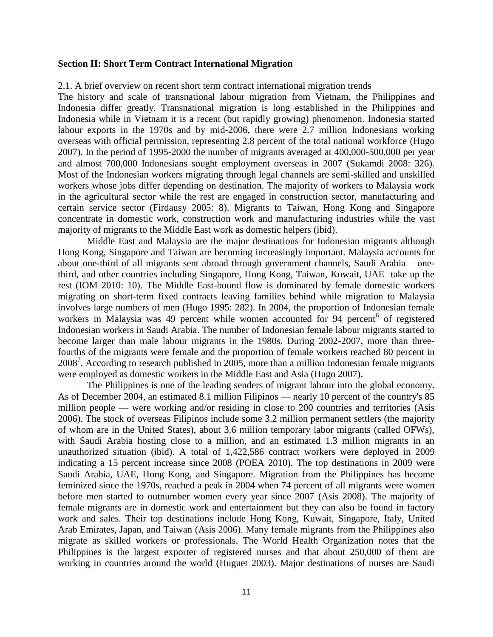#### **Section II: Short Term Contract International Migration**

#### 2.1. A brief overview on recent short term contract international migration trends

The history and scale of transnational labour migration from Vietnam, the Philippines and Indonesia differ greatly. Transnational migration is long established in the Philippines and Indonesia while in Vietnam it is a recent (but rapidly growing) phenomenon. Indonesia started labour exports in the 1970s and by mid-2006, there were 2.7 million Indonesians working overseas with official permission, representing 2.8 percent of the total national workforce (Hugo 2007). In the period of 1995-2000 the number of migrants averaged at 400,000-500,000 per year and almost 700,000 Indonesians sought employment overseas in 2007 (Sukamdi 2008: 326). Most of the Indonesian workers migrating through legal channels are semi-skilled and unskilled workers whose jobs differ depending on destination. The majority of workers to Malaysia work in the agricultural sector while the rest are engaged in construction sector, manufacturing and certain service sector (Firdausy 2005: 8). Migrants to Taiwan, Hong Kong and Singapore concentrate in domestic work, construction work and manufacturing industries while the vast majority of migrants to the Middle East work as domestic helpers (ibid).

Middle East and Malaysia are the major destinations for Indonesian migrants although Hong Kong, Singapore and Taiwan are becoming increasingly important. Malaysia accounts for about one-third of all migrants sent abroad through government channels, Saudi Arabia – onethird, and other countries including Singapore, Hong Kong, Taiwan, Kuwait, UAE take up the rest (IOM 2010: 10). The Middle East-bound flow is dominated by female domestic workers migrating on short-term fixed contracts leaving families behind while migration to Malaysia involves large numbers of men (Hugo 1995: 282). In 2004, the proportion of Indonesian female workers in Malaysia was 49 percent while women accounted for 94 percent<sup>6</sup> of registered Indonesian workers in Saudi Arabia. The number of Indonesian female labour migrants started to become larger than male labour migrants in the 1980s. During 2002-2007, more than threefourths of the migrants were female and the proportion of female workers reached 80 percent in 2008<sup>7</sup>. According to research published in 2005, more than a million Indonesian female migrants were employed as domestic workers in the Middle East and Asia (Hugo 2007).

The Philippines is one of the leading senders of migrant labour into the global economy. As of December 2004, an estimated 8.1 million Filipinos — nearly 10 percent of the country's 85 million people — were working and/or residing in close to 200 countries and territories (Asis 2006). The stock of overseas Filipinos include some 3.2 million permanent settlers (the majority of whom are in the United States), about 3.6 million temporary labor migrants (called OFWs), with Saudi Arabia hosting close to a million, and an estimated 1.3 million migrants in an unauthorized situation (ibid). A total of 1,422,586 contract workers were deployed in 2009 indicating a 15 percent increase since 2008 (POEA 2010). The top destinations in 2009 were Saudi Arabia, UAE, Hong Kong, and Singapore. Migration from the Philippines has become feminized since the 1970s, reached a peak in 2004 when 74 percent of all migrants were women before men started to outnumber women every year since 2007 (Asis 2008). The majority of female migrants are in domestic work and entertainment but they can also be found in factory work and sales. Their top destinations include Hong Kong, Kuwait, Singapore, Italy, United Arab Emirates, Japan, and Taiwan (Asis 2006). Many female migrants from the Philippines also migrate as skilled workers or professionals. The World Health Organization notes that the Philippines is the largest exporter of registered nurses and that about 250,000 of them are working in countries around the world (Huguet 2003). Major destinations of nurses are Saudi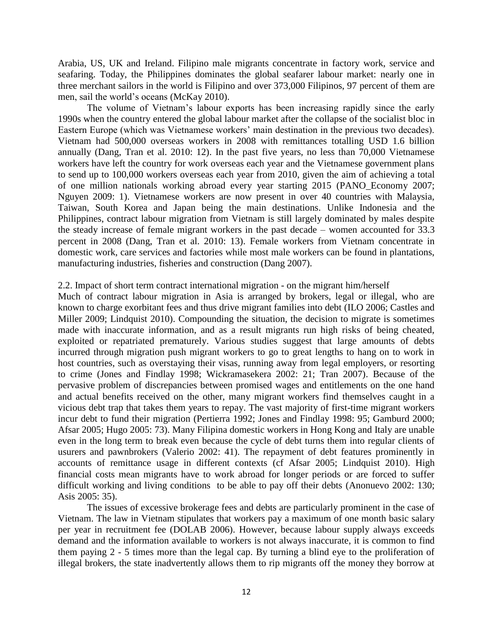Arabia, US, UK and Ireland. Filipino male migrants concentrate in factory work, service and seafaring. Today, the Philippines dominates the global seafarer labour market: nearly one in three merchant sailors in the world is Filipino and over 373,000 Filipinos, 97 percent of them are men, sail the world's oceans (McKay 2010).

The volume of Vietnam's labour exports has been increasing rapidly since the early 1990s when the country entered the global labour market after the collapse of the socialist bloc in Eastern Europe (which was Vietnamese workers' main destination in the previous two decades). Vietnam had 500,000 overseas workers in 2008 with remittances totalling USD 1.6 billion annually (Dang, Tran et al. 2010: 12). In the past five years, no less than 70,000 Vietnamese workers have left the country for work overseas each year and the Vietnamese government plans to send up to 100,000 workers overseas each year from 2010, given the aim of achieving a total of one million nationals working abroad every year starting 2015 (PANO\_Economy 2007; Nguyen 2009: 1). Vietnamese workers are now present in over 40 countries with Malaysia, Taiwan, South Korea and Japan being the main destinations. Unlike Indonesia and the Philippines, contract labour migration from Vietnam is still largely dominated by males despite the steady increase of female migrant workers in the past decade – women accounted for 33.3 percent in 2008 (Dang, Tran et al. 2010: 13). Female workers from Vietnam concentrate in domestic work, care services and factories while most male workers can be found in plantations, manufacturing industries, fisheries and construction (Dang 2007).

## 2.2. Impact of short term contract international migration - on the migrant him/herself

Much of contract labour migration in Asia is arranged by brokers, legal or illegal, who are known to charge exorbitant fees and thus drive migrant families into debt (ILO 2006; Castles and Miller 2009; Lindquist 2010). Compounding the situation, the decision to migrate is sometimes made with inaccurate information, and as a result migrants run high risks of being cheated, exploited or repatriated prematurely. Various studies suggest that large amounts of debts incurred through migration push migrant workers to go to great lengths to hang on to work in host countries, such as overstaying their visas, running away from legal employers, or resorting to crime (Jones and Findlay 1998; Wickramasekera 2002: 21; Tran 2007). Because of the pervasive problem of discrepancies between promised wages and entitlements on the one hand and actual benefits received on the other, many migrant workers find themselves caught in a vicious debt trap that takes them years to repay. The vast majority of first-time migrant workers incur debt to fund their migration (Pertierra 1992; Jones and Findlay 1998: 95; Gamburd 2000; Afsar 2005; Hugo 2005: 73). Many Filipina domestic workers in Hong Kong and Italy are unable even in the long term to break even because the cycle of debt turns them into regular clients of usurers and pawnbrokers (Valerio 2002: 41). The repayment of debt features prominently in accounts of remittance usage in different contexts (cf Afsar 2005; Lindquist 2010). High financial costs mean migrants have to work abroad for longer periods or are forced to suffer difficult working and living conditions to be able to pay off their debts (Anonuevo 2002: 130; Asis 2005: 35).

The issues of excessive brokerage fees and debts are particularly prominent in the case of Vietnam. The law in Vietnam stipulates that workers pay a maximum of one month basic salary per year in recruitment fee (DOLAB 2006). However, because labour supply always exceeds demand and the information available to workers is not always inaccurate, it is common to find them paying 2 - 5 times more than the legal cap. By turning a blind eye to the proliferation of illegal brokers, the state inadvertently allows them to rip migrants off the money they borrow at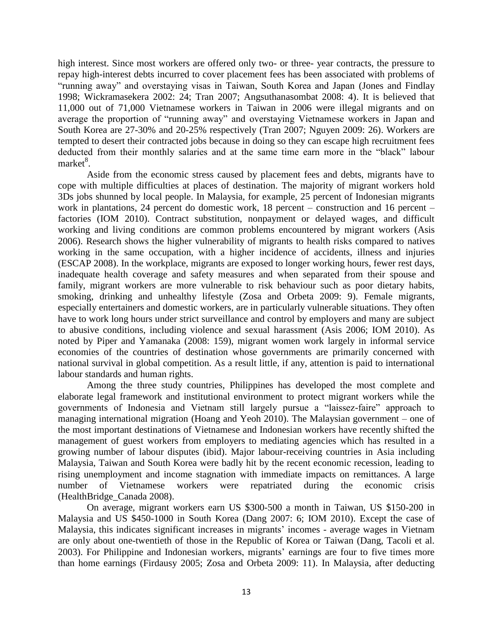high interest. Since most workers are offered only two- or three- year contracts, the pressure to repay high-interest debts incurred to cover placement fees has been associated with problems of "running away" and overstaying visas in Taiwan, South Korea and Japan (Jones and Findlay 1998; Wickramasekera 2002: 24; Tran 2007; Angsuthanasombat 2008: 4). It is believed that 11,000 out of 71,000 Vietnamese workers in Taiwan in 2006 were illegal migrants and on average the proportion of "running away" and overstaying Vietnamese workers in Japan and South Korea are 27-30% and 20-25% respectively (Tran 2007; Nguyen 2009: 26). Workers are tempted to desert their contracted jobs because in doing so they can escape high recruitment fees deducted from their monthly salaries and at the same time earn more in the "black" labour market<sup>8</sup>.

Aside from the economic stress caused by placement fees and debts, migrants have to cope with multiple difficulties at places of destination. The majority of migrant workers hold 3Ds jobs shunned by local people. In Malaysia, for example, 25 percent of Indonesian migrants work in plantations, 24 percent do domestic work, 18 percent – construction and 16 percent – factories (IOM 2010). Contract substitution, nonpayment or delayed wages, and difficult working and living conditions are common problems encountered by migrant workers (Asis 2006). Research shows the higher vulnerability of migrants to health risks compared to natives working in the same occupation, with a higher incidence of accidents, illness and injuries (ESCAP 2008). In the workplace, migrants are exposed to longer working hours, fewer rest days, inadequate health coverage and safety measures and when separated from their spouse and family, migrant workers are more vulnerable to risk behaviour such as poor dietary habits, smoking, drinking and unhealthy lifestyle (Zosa and Orbeta 2009: 9). Female migrants, especially entertainers and domestic workers, are in particularly vulnerable situations. They often have to work long hours under strict surveillance and control by employers and many are subject to abusive conditions, including violence and sexual harassment (Asis 2006; IOM 2010). As noted by Piper and Yamanaka (2008: 159), migrant women work largely in informal service economies of the countries of destination whose governments are primarily concerned with national survival in global competition. As a result little, if any, attention is paid to international labour standards and human rights.

Among the three study countries, Philippines has developed the most complete and elaborate legal framework and institutional environment to protect migrant workers while the governments of Indonesia and Vietnam still largely pursue a "laissez-faire" approach to managing international migration (Hoang and Yeoh 2010). The Malaysian government – one of the most important destinations of Vietnamese and Indonesian workers have recently shifted the management of guest workers from employers to mediating agencies which has resulted in a growing number of labour disputes (ibid). Major labour-receiving countries in Asia including Malaysia, Taiwan and South Korea were badly hit by the recent economic recession, leading to rising unemployment and income stagnation with immediate impacts on remittances. A large number of Vietnamese workers were repatriated during the economic crisis (HealthBridge\_Canada 2008).

On average, migrant workers earn US \$300-500 a month in Taiwan, US \$150-200 in Malaysia and US \$450-1000 in South Korea (Dang 2007: 6; IOM 2010). Except the case of Malaysia, this indicates significant increases in migrants' incomes - average wages in Vietnam are only about one-twentieth of those in the Republic of Korea or Taiwan (Dang, Tacoli et al. 2003). For Philippine and Indonesian workers, migrants' earnings are four to five times more than home earnings (Firdausy 2005; Zosa and Orbeta 2009: 11). In Malaysia, after deducting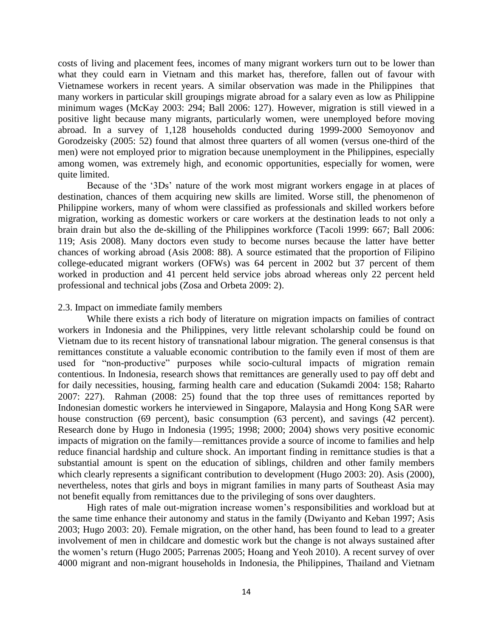costs of living and placement fees, incomes of many migrant workers turn out to be lower than what they could earn in Vietnam and this market has, therefore, fallen out of favour with Vietnamese workers in recent years. A similar observation was made in the Philippines that many workers in particular skill groupings migrate abroad for a salary even as low as Philippine minimum wages (McKay 2003: 294; Ball 2006: 127). However, migration is still viewed in a positive light because many migrants, particularly women, were unemployed before moving abroad. In a survey of 1,128 households conducted during 1999-2000 Semoyonov and Gorodzeisky (2005: 52) found that almost three quarters of all women (versus one-third of the men) were not employed prior to migration because unemployment in the Philippines, especially among women, was extremely high, and economic opportunities, especially for women, were quite limited.

Because of the '3Ds' nature of the work most migrant workers engage in at places of destination, chances of them acquiring new skills are limited. Worse still, the phenomenon of Philippine workers, many of whom were classified as professionals and skilled workers before migration, working as domestic workers or care workers at the destination leads to not only a brain drain but also the de-skilling of the Philippines workforce (Tacoli 1999: 667; Ball 2006: 119; Asis 2008). Many doctors even study to become nurses because the latter have better chances of working abroad (Asis 2008: 88). A source estimated that the proportion of Filipino college-educated migrant workers (OFWs) was 64 percent in 2002 but 37 percent of them worked in production and 41 percent held service jobs abroad whereas only 22 percent held professional and technical jobs (Zosa and Orbeta 2009: 2).

#### 2.3. Impact on immediate family members

While there exists a rich body of literature on migration impacts on families of contract workers in Indonesia and the Philippines, very little relevant scholarship could be found on Vietnam due to its recent history of transnational labour migration. The general consensus is that remittances constitute a valuable economic contribution to the family even if most of them are used for "non-productive" purposes while socio-cultural impacts of migration remain contentious. In Indonesia, research shows that remittances are generally used to pay off debt and for daily necessities, housing, farming health care and education (Sukamdi 2004: 158; Raharto 2007: 227). Rahman (2008: 25) found that the top three uses of remittances reported by Indonesian domestic workers he interviewed in Singapore, Malaysia and Hong Kong SAR were house construction (69 percent), basic consumption (63 percent), and savings (42 percent). Research done by Hugo in Indonesia (1995; 1998; 2000; 2004) shows very positive economic impacts of migration on the family—remittances provide a source of income to families and help reduce financial hardship and culture shock. An important finding in remittance studies is that a substantial amount is spent on the education of siblings, children and other family members which clearly represents a significant contribution to development (Hugo 2003: 20). Asis (2000), nevertheless, notes that girls and boys in migrant families in many parts of Southeast Asia may not benefit equally from remittances due to the privileging of sons over daughters.

High rates of male out-migration increase women's responsibilities and workload but at the same time enhance their autonomy and status in the family (Dwiyanto and Keban 1997; Asis 2003; Hugo 2003: 20). Female migration, on the other hand, has been found to lead to a greater involvement of men in childcare and domestic work but the change is not always sustained after the women's return (Hugo 2005; Parrenas 2005; Hoang and Yeoh 2010). A recent survey of over 4000 migrant and non-migrant households in Indonesia, the Philippines, Thailand and Vietnam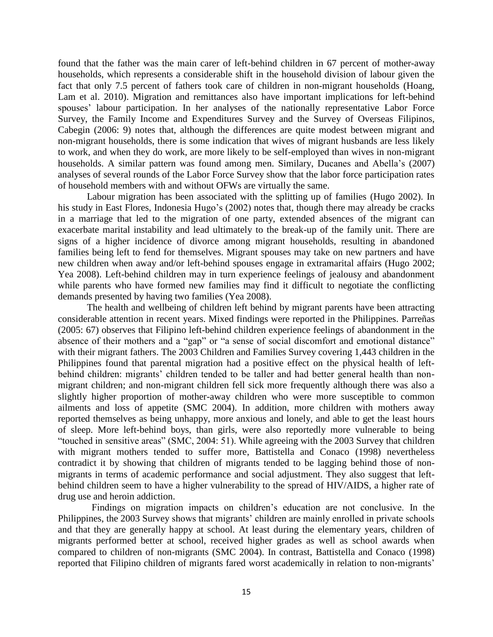found that the father was the main carer of left-behind children in 67 percent of mother-away households, which represents a considerable shift in the household division of labour given the fact that only 7.5 percent of fathers took care of children in non-migrant households (Hoang, Lam et al. 2010). Migration and remittances also have important implications for left-behind spouses' labour participation. In her analyses of the nationally representative Labor Force Survey, the Family Income and Expenditures Survey and the Survey of Overseas Filipinos, Cabegin (2006: 9) notes that, although the differences are quite modest between migrant and non-migrant households, there is some indication that wives of migrant husbands are less likely to work, and when they do work, are more likely to be self-employed than wives in non-migrant households. A similar pattern was found among men. Similary, Ducanes and Abella's (2007) analyses of several rounds of the Labor Force Survey show that the labor force participation rates of household members with and without OFWs are virtually the same.

Labour migration has been associated with the splitting up of families (Hugo 2002). In his study in East Flores, Indonesia Hugo's (2002) notes that, though there may already be cracks in a marriage that led to the migration of one party, extended absences of the migrant can exacerbate marital instability and lead ultimately to the break-up of the family unit. There are signs of a higher incidence of divorce among migrant households, resulting in abandoned families being left to fend for themselves. Migrant spouses may take on new partners and have new children when away and/or left-behind spouses engage in extramarital affairs (Hugo 2002; Yea 2008). Left-behind children may in turn experience feelings of jealousy and abandonment while parents who have formed new families may find it difficult to negotiate the conflicting demands presented by having two families (Yea 2008).

The health and wellbeing of children left behind by migrant parents have been attracting considerable attention in recent years. Mixed findings were reported in the Philippines. Parreñas (2005: 67) observes that Filipino left-behind children experience feelings of abandonment in the absence of their mothers and a "gap" or "a sense of social discomfort and emotional distance" with their migrant fathers. The 2003 Children and Families Survey covering 1,443 children in the Philippines found that parental migration had a positive effect on the physical health of leftbehind children: migrants' children tended to be taller and had better general health than nonmigrant children; and non-migrant children fell sick more frequently although there was also a slightly higher proportion of mother-away children who were more susceptible to common ailments and loss of appetite (SMC 2004). In addition, more children with mothers away reported themselves as being unhappy, more anxious and lonely, and able to get the least hours of sleep. More left-behind boys, than girls, were also reportedly more vulnerable to being "touched in sensitive areas" (SMC, 2004: 51). While agreeing with the 2003 Survey that children with migrant mothers tended to suffer more, Battistella and Conaco (1998) nevertheless contradict it by showing that children of migrants tended to be lagging behind those of nonmigrants in terms of academic performance and social adjustment. They also suggest that leftbehind children seem to have a higher vulnerability to the spread of HIV/AIDS, a higher rate of drug use and heroin addiction.

 Findings on migration impacts on children's education are not conclusive. In the Philippines, the 2003 Survey shows that migrants' children are mainly enrolled in private schools and that they are generally happy at school. At least during the elementary years, children of migrants performed better at school, received higher grades as well as school awards when compared to children of non-migrants (SMC 2004). In contrast, Battistella and Conaco (1998) reported that Filipino children of migrants fared worst academically in relation to non-migrants'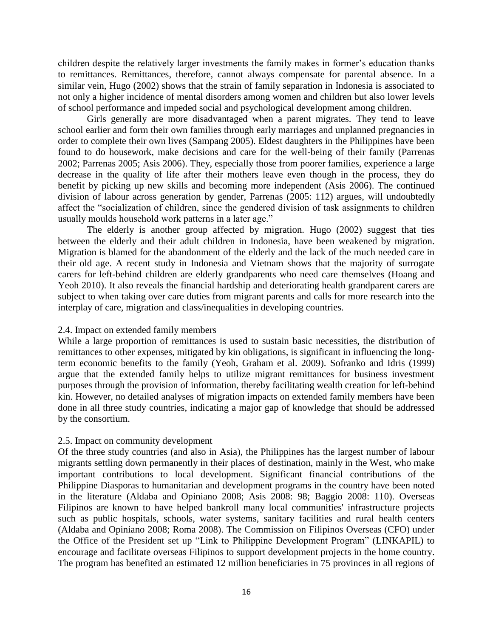children despite the relatively larger investments the family makes in former's education thanks to remittances. Remittances, therefore, cannot always compensate for parental absence. In a similar vein, Hugo (2002) shows that the strain of family separation in Indonesia is associated to not only a higher incidence of mental disorders among women and children but also lower levels of school performance and impeded social and psychological development among children.

Girls generally are more disadvantaged when a parent migrates. They tend to leave school earlier and form their own families through early marriages and unplanned pregnancies in order to complete their own lives (Sampang 2005). Eldest daughters in the Philippines have been found to do housework, make decisions and care for the well-being of their family (Parrenas 2002; Parrenas 2005; Asis 2006). They, especially those from poorer families, experience a large decrease in the quality of life after their mothers leave even though in the process, they do benefit by picking up new skills and becoming more independent (Asis 2006). The continued division of labour across generation by gender, Parrenas (2005: 112) argues, will undoubtedly affect the "socialization of children, since the gendered division of task assignments to children usually moulds household work patterns in a later age."

The elderly is another group affected by migration. Hugo (2002) suggest that ties between the elderly and their adult children in Indonesia, have been weakened by migration. Migration is blamed for the abandonment of the elderly and the lack of the much needed care in their old age. A recent study in Indonesia and Vietnam shows that the majority of surrogate carers for left-behind children are elderly grandparents who need care themselves (Hoang and Yeoh 2010). It also reveals the financial hardship and deteriorating health grandparent carers are subject to when taking over care duties from migrant parents and calls for more research into the interplay of care, migration and class/inequalities in developing countries.

# 2.4. Impact on extended family members

While a large proportion of remittances is used to sustain basic necessities, the distribution of remittances to other expenses, mitigated by kin obligations, is significant in influencing the longterm economic benefits to the family (Yeoh, Graham et al. 2009). Sofranko and Idris (1999) argue that the extended family helps to utilize migrant remittances for business investment purposes through the provision of information, thereby facilitating wealth creation for left-behind kin. However, no detailed analyses of migration impacts on extended family members have been done in all three study countries, indicating a major gap of knowledge that should be addressed by the consortium.

# 2.5. Impact on community development

Of the three study countries (and also in Asia), the Philippines has the largest number of labour migrants settling down permanently in their places of destination, mainly in the West, who make important contributions to local development. Significant financial contributions of the Philippine Diasporas to humanitarian and development programs in the country have been noted in the literature (Aldaba and Opiniano 2008; Asis 2008: 98; Baggio 2008: 110). Overseas Filipinos are known to have helped bankroll many local communities' infrastructure projects such as public hospitals, schools, water systems, sanitary facilities and rural health centers (Aldaba and Opiniano 2008; Roma 2008). The Commission on Filipinos Overseas (CFO) under the Office of the President set up "Link to Philippine Development Program" (LINKAPIL) to encourage and facilitate overseas Filipinos to support development projects in the home country. The program has benefited an estimated 12 million beneficiaries in 75 provinces in all regions of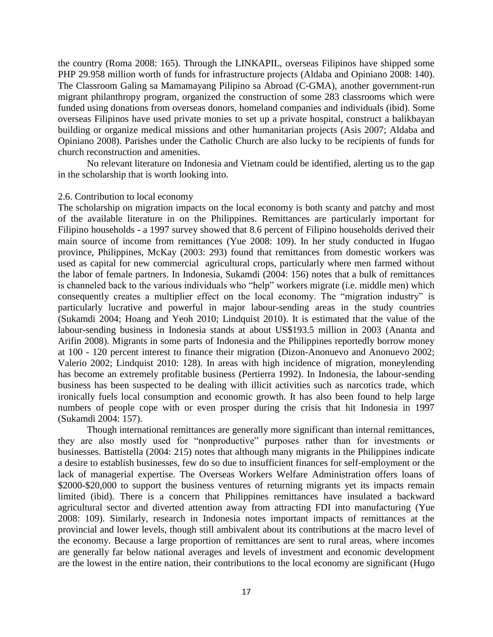the country (Roma 2008: 165). Through the LINKAPIL, overseas Filipinos have shipped some PHP 29.958 million worth of funds for infrastructure projects (Aldaba and Opiniano 2008: 140). The Classroom Galing sa Mamamayang Pilipino sa Abroad (C-GMA), another government-run migrant philanthropy program, organized the construction of some 283 classrooms which were funded using donations from overseas donors, homeland companies and individuals (ibid). Some overseas Filipinos have used private monies to set up a private hospital, construct a balikbayan building or organize medical missions and other humanitarian projects (Asis 2007; Aldaba and Opiniano 2008). Parishes under the Catholic Church are also lucky to be recipients of funds for church reconstruction and amenities.

No relevant literature on Indonesia and Vietnam could be identified, alerting us to the gap in the scholarship that is worth looking into.

#### 2.6. Contribution to local economy

The scholarship on migration impacts on the local economy is both scanty and patchy and most of the available literature in on the Philippines. Remittances are particularly important for Filipino households - a 1997 survey showed that 8.6 percent of Filipino households derived their main source of income from remittances (Yue 2008: 109). In her study conducted in Ifugao province, Philippines, McKay (2003: 293) found that remittances from domestic workers was used as capital for new commercial agricultural crops, particularly where men farmed without the labor of female partners. In Indonesia, Sukamdi (2004: 156) notes that a bulk of remittances is channeled back to the various individuals who "help" workers migrate (i.e. middle men) which consequently creates a multiplier effect on the local economy. The "migration industry" is particularly lucrative and powerful in major labour-sending areas in the study countries (Sukamdi 2004; Hoang and Yeoh 2010; Lindquist 2010). It is estimated that the value of the labour-sending business in Indonesia stands at about US\$193.5 million in 2003 (Ananta and Arifin 2008). Migrants in some parts of Indonesia and the Philippines reportedly borrow money at 100 - 120 percent interest to finance their migration (Dizon-Anonuevo and Anonuevo 2002; Valerio 2002; Lindquist 2010: 128). In areas with high incidence of migration, moneylending has become an extremely profitable business (Pertierra 1992). In Indonesia, the labour-sending business has been suspected to be dealing with illicit activities such as narcotics trade, which ironically fuels local consumption and economic growth. It has also been found to help large numbers of people cope with or even prosper during the crisis that hit Indonesia in 1997 (Sukamdi 2004: 157).

Though international remittances are generally more significant than internal remittances, they are also mostly used for "nonproductive" purposes rather than for investments or businesses. Battistella (2004: 215) notes that although many migrants in the Philippines indicate a desire to establish businesses, few do so due to insufficient finances for self-employment or the lack of managerial expertise. The Overseas Workers Welfare Administration offers loans of \$2000-\$20,000 to support the business ventures of returning migrants yet its impacts remain limited (ibid). There is a concern that Philippines remittances have insulated a backward agricultural sector and diverted attention away from attracting FDI into manufacturing (Yue 2008: 109). Similarly, research in Indonesia notes important impacts of remittances at the provincial and lower levels, though still ambivalent about its contributions at the macro level of the economy. Because a large proportion of remittances are sent to rural areas, where incomes are generally far below national averages and levels of investment and economic development are the lowest in the entire nation, their contributions to the local economy are significant (Hugo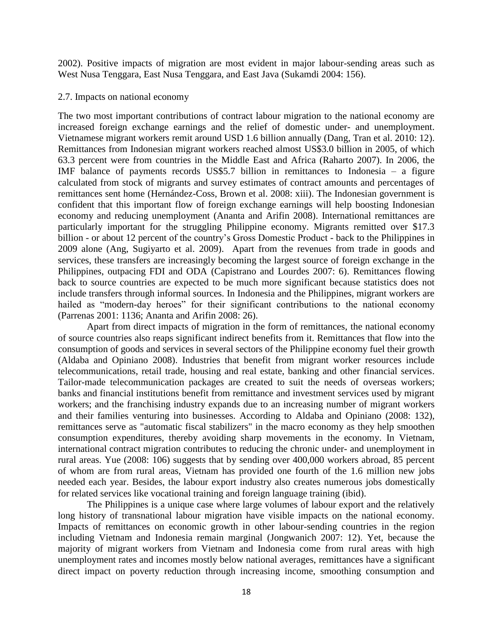2002). Positive impacts of migration are most evident in major labour-sending areas such as West Nusa Tenggara, East Nusa Tenggara, and East Java (Sukamdi 2004: 156).

## 2.7. Impacts on national economy

The two most important contributions of contract labour migration to the national economy are increased foreign exchange earnings and the relief of domestic under- and unemployment. Vietnamese migrant workers remit around USD 1.6 billion annually (Dang, Tran et al. 2010: 12). Remittances from Indonesian migrant workers reached almost US\$3.0 billion in 2005, of which 63.3 percent were from countries in the Middle East and Africa (Raharto 2007). In 2006, the IMF balance of payments records US\$5.7 billion in remittances to Indonesia – a figure calculated from stock of migrants and survey estimates of contract amounts and percentages of remittances sent home (Hernández-Coss, Brown et al. 2008: xiii). The Indonesian government is confident that this important flow of foreign exchange earnings will help boosting Indonesian economy and reducing unemployment (Ananta and Arifin 2008). International remittances are particularly important for the struggling Philippine economy. Migrants remitted over \$17.3 billion - or about 12 percent of the country's Gross Domestic Product - back to the Philippines in 2009 alone (Ang, Sugiyarto et al. 2009). Apart from the revenues from trade in goods and services, these transfers are increasingly becoming the largest source of foreign exchange in the Philippines, outpacing FDI and ODA (Capistrano and Lourdes 2007: 6). Remittances flowing back to source countries are expected to be much more significant because statistics does not include transfers through informal sources. In Indonesia and the Philippines, migrant workers are hailed as "modern-day heroes" for their significant contributions to the national economy (Parrenas 2001: 1136; Ananta and Arifin 2008: 26).

Apart from direct impacts of migration in the form of remittances, the national economy of source countries also reaps significant indirect benefits from it. Remittances that flow into the consumption of goods and services in several sectors of the Philippine economy fuel their growth (Aldaba and Opiniano 2008). Industries that benefit from migrant worker resources include telecommunications, retail trade, housing and real estate, banking and other financial services. Tailor-made telecommunication packages are created to suit the needs of overseas workers; banks and financial institutions benefit from remittance and investment services used by migrant workers; and the franchising industry expands due to an increasing number of migrant workers and their families venturing into businesses. According to Aldaba and Opiniano (2008: 132), remittances serve as "automatic fiscal stabilizers" in the macro economy as they help smoothen consumption expenditures, thereby avoiding sharp movements in the economy. In Vietnam, international contract migration contributes to reducing the chronic under- and unemployment in rural areas. Yue (2008: 106) suggests that by sending over 400,000 workers abroad, 85 percent of whom are from rural areas, Vietnam has provided one fourth of the 1.6 million new jobs needed each year. Besides, the labour export industry also creates numerous jobs domestically for related services like vocational training and foreign language training (ibid).

The Philippines is a unique case where large volumes of labour export and the relatively long history of transnational labour migration have visible impacts on the national economy. Impacts of remittances on economic growth in other labour-sending countries in the region including Vietnam and Indonesia remain marginal (Jongwanich 2007: 12). Yet, because the majority of migrant workers from Vietnam and Indonesia come from rural areas with high unemployment rates and incomes mostly below national averages, remittances have a significant direct impact on poverty reduction through increasing income, smoothing consumption and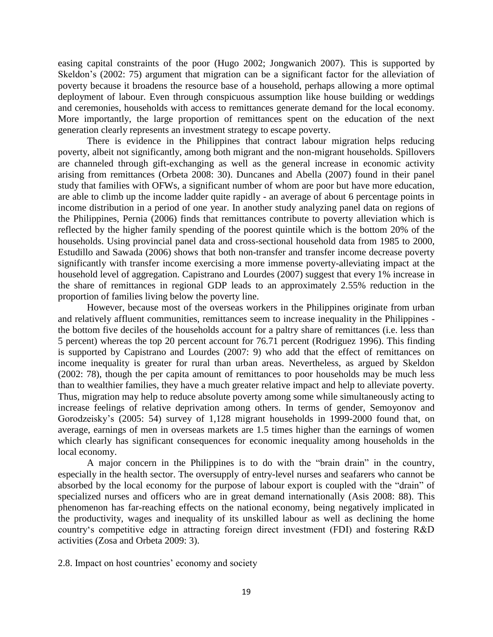easing capital constraints of the poor (Hugo 2002; Jongwanich 2007). This is supported by Skeldon's (2002: 75) argument that migration can be a significant factor for the alleviation of poverty because it broadens the resource base of a household, perhaps allowing a more optimal deployment of labour. Even through conspicuous assumption like house building or weddings and ceremonies, households with access to remittances generate demand for the local economy. More importantly, the large proportion of remittances spent on the education of the next generation clearly represents an investment strategy to escape poverty.

There is evidence in the Philippines that contract labour migration helps reducing poverty, albeit not significantly, among both migrant and the non-migrant households. Spillovers are channeled through gift-exchanging as well as the general increase in economic activity arising from remittances (Orbeta 2008: 30). Duncanes and Abella (2007) found in their panel study that families with OFWs, a significant number of whom are poor but have more education, are able to climb up the income ladder quite rapidly - an average of about 6 percentage points in income distribution in a period of one year. In another study analyzing panel data on regions of the Philippines, Pernia (2006) finds that remittances contribute to poverty alleviation which is reflected by the higher family spending of the poorest quintile which is the bottom 20% of the households. Using provincial panel data and cross-sectional household data from 1985 to 2000, Estudillo and Sawada (2006) shows that both non-transfer and transfer income decrease poverty significantly with transfer income exercising a more immense poverty-alleviating impact at the household level of aggregation. Capistrano and Lourdes (2007) suggest that every 1% increase in the share of remittances in regional GDP leads to an approximately 2.55% reduction in the proportion of families living below the poverty line.

However, because most of the overseas workers in the Philippines originate from urban and relatively affluent communities, remittances seem to increase inequality in the Philippines the bottom five deciles of the households account for a paltry share of remittances (i.e. less than 5 percent) whereas the top 20 percent account for 76.71 percent (Rodriguez 1996). This finding is supported by Capistrano and Lourdes (2007: 9) who add that the effect of remittances on income inequality is greater for rural than urban areas. Nevertheless, as argued by Skeldon (2002: 78), though the per capita amount of remittances to poor households may be much less than to wealthier families, they have a much greater relative impact and help to alleviate poverty. Thus, migration may help to reduce absolute poverty among some while simultaneously acting to increase feelings of relative deprivation among others. In terms of gender, Semoyonov and Gorodzeisky's (2005: 54) survey of 1,128 migrant households in 1999-2000 found that, on average, earnings of men in overseas markets are 1.5 times higher than the earnings of women which clearly has significant consequences for economic inequality among households in the local economy.

A major concern in the Philippines is to do with the "brain drain" in the country, especially in the health sector. The oversupply of entry-level nurses and seafarers who cannot be absorbed by the local economy for the purpose of labour export is coupled with the "drain" of specialized nurses and officers who are in great demand internationally (Asis 2008: 88). This phenomenon has far-reaching effects on the national economy, being negatively implicated in the productivity, wages and inequality of its unskilled labour as well as declining the home country‗s competitive edge in attracting foreign direct investment (FDI) and fostering R&D activities (Zosa and Orbeta 2009: 3).

2.8. Impact on host countries' economy and society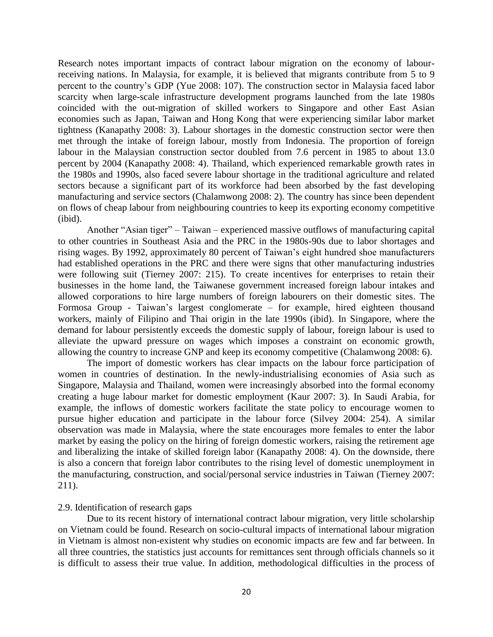Research notes important impacts of contract labour migration on the economy of labourreceiving nations. In Malaysia, for example, it is believed that migrants contribute from 5 to 9 percent to the country's GDP (Yue 2008: 107). The construction sector in Malaysia faced labor scarcity when large-scale infrastructure development programs launched from the late 1980s coincided with the out-migration of skilled workers to Singapore and other East Asian economies such as Japan, Taiwan and Hong Kong that were experiencing similar labor market tightness (Kanapathy 2008: 3). Labour shortages in the domestic construction sector were then met through the intake of foreign labour, mostly from Indonesia. The proportion of foreign labour in the Malaysian construction sector doubled from 7.6 percent in 1985 to about 13.0 percent by 2004 (Kanapathy 2008: 4). Thailand, which experienced remarkable growth rates in the 1980s and 1990s, also faced severe labour shortage in the traditional agriculture and related sectors because a significant part of its workforce had been absorbed by the fast developing manufacturing and service sectors (Chalamwong 2008: 2). The country has since been dependent on flows of cheap labour from neighbouring countries to keep its exporting economy competitive (ibid).

Another "Asian tiger" – Taiwan – experienced massive outflows of manufacturing capital to other countries in Southeast Asia and the PRC in the 1980s-90s due to labor shortages and rising wages. By 1992, approximately 80 percent of Taiwan's eight hundred shoe manufacturers had established operations in the PRC and there were signs that other manufacturing industries were following suit (Tierney 2007: 215). To create incentives for enterprises to retain their businesses in the home land, the Taiwanese government increased foreign labour intakes and allowed corporations to hire large numbers of foreign labourers on their domestic sites. The Formosa Group - Taiwan's largest conglomerate – for example, hired eighteen thousand workers, mainly of Filipino and Thai origin in the late 1990s (ibid). In Singapore, where the demand for labour persistently exceeds the domestic supply of labour, foreign labour is used to alleviate the upward pressure on wages which imposes a constraint on economic growth, allowing the country to increase GNP and keep its economy competitive (Chalamwong 2008: 6).

The import of domestic workers has clear impacts on the labour force participation of women in countries of destination. In the newly-industrialising economies of Asia such as Singapore, Malaysia and Thailand, women were increasingly absorbed into the formal economy creating a huge labour market for domestic employment (Kaur 2007: 3). In Saudi Arabia, for example, the inflows of domestic workers facilitate the state policy to encourage women to pursue higher education and participate in the labour force (Silvey 2004: 254). A similar observation was made in Malaysia, where the state encourages more females to enter the labor market by easing the policy on the hiring of foreign domestic workers, raising the retirement age and liberalizing the intake of skilled foreign labor (Kanapathy 2008: 4). On the downside, there is also a concern that foreign labor contributes to the rising level of domestic unemployment in the manufacturing, construction, and social/personal service industries in Taiwan (Tierney 2007: 211).

#### 2.9. Identification of research gaps

Due to its recent history of international contract labour migration, very little scholarship on Vietnam could be found. Research on socio-cultural impacts of international labour migration in Vietnam is almost non-existent why studies on economic impacts are few and far between. In all three countries, the statistics just accounts for remittances sent through officials channels so it is difficult to assess their true value. In addition, methodological difficulties in the process of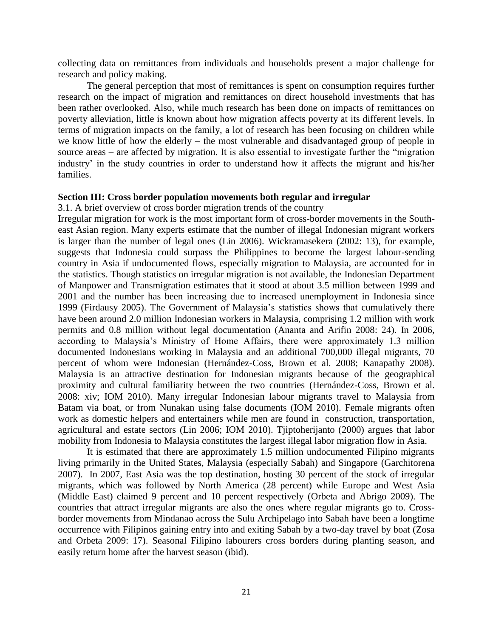collecting data on remittances from individuals and households present a major challenge for research and policy making.

The general perception that most of remittances is spent on consumption requires further research on the impact of migration and remittances on direct household investments that has been rather overlooked. Also, while much research has been done on impacts of remittances on poverty alleviation, little is known about how migration affects poverty at its different levels. In terms of migration impacts on the family, a lot of research has been focusing on children while we know little of how the elderly – the most vulnerable and disadvantaged group of people in source areas – are affected by migration. It is also essential to investigate further the "migration" industry' in the study countries in order to understand how it affects the migrant and his/her families.

#### **Section III: Cross border population movements both regular and irregular**

3.1. A brief overview of cross border migration trends of the country

Irregular migration for work is the most important form of cross-border movements in the Southeast Asian region. Many experts estimate that the number of illegal Indonesian migrant workers is larger than the number of legal ones (Lin 2006). Wickramasekera (2002: 13), for example, suggests that Indonesia could surpass the Philippines to become the largest labour-sending country in Asia if undocumented flows, especially migration to Malaysia, are accounted for in the statistics. Though statistics on irregular migration is not available, the Indonesian Department of Manpower and Transmigration estimates that it stood at about 3.5 million between 1999 and 2001 and the number has been increasing due to increased unemployment in Indonesia since 1999 (Firdausy 2005). The Government of Malaysia's statistics shows that cumulatively there have been around 2.0 million Indonesian workers in Malaysia, comprising 1.2 million with work permits and 0.8 million without legal documentation (Ananta and Arifin 2008: 24). In 2006, according to Malaysia's Ministry of Home Affairs, there were approximately 1.3 million documented Indonesians working in Malaysia and an additional 700,000 illegal migrants, 70 percent of whom were Indonesian (Hernández-Coss, Brown et al. 2008; Kanapathy 2008). Malaysia is an attractive destination for Indonesian migrants because of the geographical proximity and cultural familiarity between the two countries (Hernández-Coss, Brown et al. 2008: xiv; IOM 2010). Many irregular Indonesian labour migrants travel to Malaysia from Batam via boat, or from Nunakan using false documents (IOM 2010). Female migrants often work as domestic helpers and entertainers while men are found in construction, transportation, agricultural and estate sectors (Lin 2006; IOM 2010). Tjiptoherijanto (2000) argues that labor mobility from Indonesia to Malaysia constitutes the largest illegal labor migration flow in Asia.

It is estimated that there are approximately 1.5 million undocumented Filipino migrants living primarily in the United States, Malaysia (especially Sabah) and Singapore (Garchitorena 2007). In 2007, East Asia was the top destination, hosting 30 percent of the stock of irregular migrants, which was followed by North America (28 percent) while Europe and West Asia (Middle East) claimed 9 percent and 10 percent respectively (Orbeta and Abrigo 2009). The countries that attract irregular migrants are also the ones where regular migrants go to. Crossborder movements from Mindanao across the Sulu Archipelago into Sabah have been a longtime occurrence with Filipinos gaining entry into and exiting Sabah by a two-day travel by boat (Zosa and Orbeta 2009: 17). Seasonal Filipino labourers cross borders during planting season, and easily return home after the harvest season (ibid).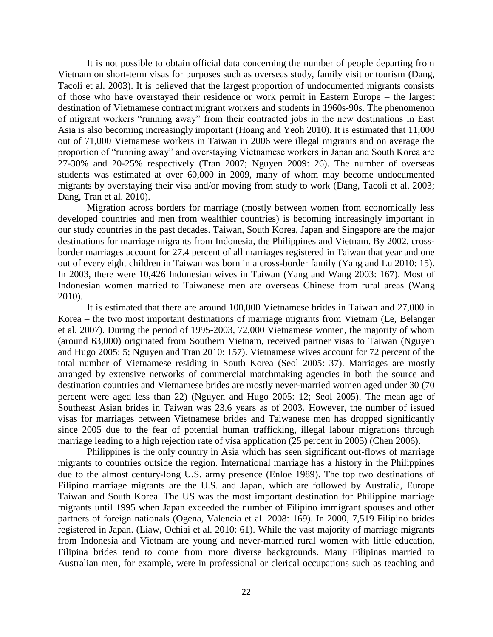It is not possible to obtain official data concerning the number of people departing from Vietnam on short-term visas for purposes such as overseas study, family visit or tourism (Dang, Tacoli et al. 2003). It is believed that the largest proportion of undocumented migrants consists of those who have overstayed their residence or work permit in Eastern Europe – the largest destination of Vietnamese contract migrant workers and students in 1960s-90s. The phenomenon of migrant workers "running away" from their contracted jobs in the new destinations in East Asia is also becoming increasingly important (Hoang and Yeoh 2010). It is estimated that 11,000 out of 71,000 Vietnamese workers in Taiwan in 2006 were illegal migrants and on average the proportion of "running away" and overstaying Vietnamese workers in Japan and South Korea are 27-30% and 20-25% respectively (Tran 2007; Nguyen 2009: 26). The number of overseas students was estimated at over 60,000 in 2009, many of whom may become undocumented migrants by overstaying their visa and/or moving from study to work (Dang, Tacoli et al. 2003; Dang, Tran et al. 2010).

Migration across borders for marriage (mostly between women from economically less developed countries and men from wealthier countries) is becoming increasingly important in our study countries in the past decades. Taiwan, South Korea, Japan and Singapore are the major destinations for marriage migrants from Indonesia, the Philippines and Vietnam. By 2002, crossborder marriages account for 27.4 percent of all marriages registered in Taiwan that year and one out of every eight children in Taiwan was born in a cross-border family (Yang and Lu 2010: 15). In 2003, there were 10,426 Indonesian wives in Taiwan (Yang and Wang 2003: 167). Most of Indonesian women married to Taiwanese men are overseas Chinese from rural areas (Wang 2010).

It is estimated that there are around 100,000 Vietnamese brides in Taiwan and 27,000 in Korea – the two most important destinations of marriage migrants from Vietnam (Le, Belanger et al. 2007). During the period of 1995-2003, 72,000 Vietnamese women, the majority of whom (around 63,000) originated from Southern Vietnam, received partner visas to Taiwan (Nguyen and Hugo 2005: 5; Nguyen and Tran 2010: 157). Vietnamese wives account for 72 percent of the total number of Vietnamese residing in South Korea (Seol 2005: 37). Marriages are mostly arranged by extensive networks of commercial matchmaking agencies in both the source and destination countries and Vietnamese brides are mostly never-married women aged under 30 (70 percent were aged less than 22) (Nguyen and Hugo 2005: 12; Seol 2005). The mean age of Southeast Asian brides in Taiwan was 23.6 years as of 2003. However, the number of issued visas for marriages between Vietnamese brides and Taiwanese men has dropped significantly since 2005 due to the fear of potential human trafficking, illegal labour migrations through marriage leading to a high rejection rate of visa application (25 percent in 2005) (Chen 2006).

Philippines is the only country in Asia which has seen significant out-flows of marriage migrants to countries outside the region. International marriage has a history in the Philippines due to the almost century-long U.S. army presence (Enloe 1989). The top two destinations of Filipino marriage migrants are the U.S. and Japan, which are followed by Australia, Europe Taiwan and South Korea. The US was the most important destination for Philippine marriage migrants until 1995 when Japan exceeded the number of Filipino immigrant spouses and other partners of foreign nationals (Ogena, Valencia et al. 2008: 169). In 2000, 7,519 Filipino brides registered in Japan. (Liaw, Ochiai et al. 2010: 61). While the vast majority of marriage migrants from Indonesia and Vietnam are young and never-married rural women with little education, Filipina brides tend to come from more diverse backgrounds. Many Filipinas married to Australian men, for example, were in professional or clerical occupations such as teaching and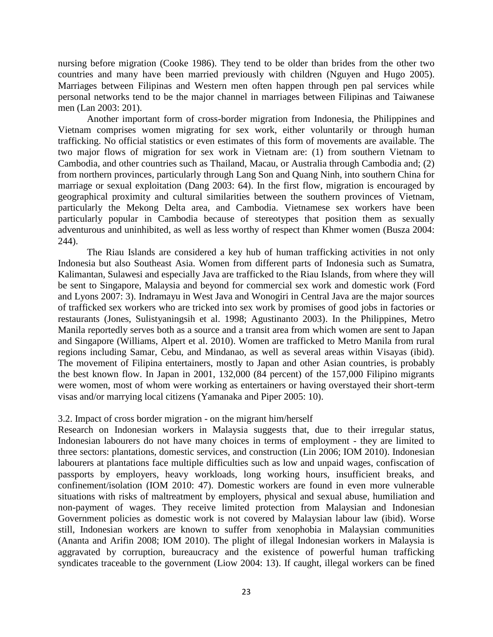nursing before migration (Cooke 1986). They tend to be older than brides from the other two countries and many have been married previously with children (Nguyen and Hugo 2005). Marriages between Filipinas and Western men often happen through pen pal services while personal networks tend to be the major channel in marriages between Filipinas and Taiwanese men (Lan 2003: 201).

Another important form of cross-border migration from Indonesia, the Philippines and Vietnam comprises women migrating for sex work, either voluntarily or through human trafficking. No official statistics or even estimates of this form of movements are available. The two major flows of migration for sex work in Vietnam are: (1) from southern Vietnam to Cambodia, and other countries such as Thailand, Macau, or Australia through Cambodia and; (2) from northern provinces, particularly through Lang Son and Quang Ninh, into southern China for marriage or sexual exploitation (Dang 2003: 64). In the first flow, migration is encouraged by geographical proximity and cultural similarities between the southern provinces of Vietnam, particularly the Mekong Delta area, and Cambodia. Vietnamese sex workers have been particularly popular in Cambodia because of stereotypes that position them as sexually adventurous and uninhibited, as well as less worthy of respect than Khmer women (Busza 2004: 244).

The Riau Islands are considered a key hub of human trafficking activities in not only Indonesia but also Southeast Asia. Women from different parts of Indonesia such as Sumatra, Kalimantan, Sulawesi and especially Java are trafficked to the Riau Islands, from where they will be sent to Singapore, Malaysia and beyond for commercial sex work and domestic work (Ford and Lyons 2007: 3). Indramayu in West Java and Wonogiri in Central Java are the major sources of trafficked sex workers who are tricked into sex work by promises of good jobs in factories or restaurants (Jones, Sulistyaningsih et al. 1998; Agustinanto 2003). In the Philippines, Metro Manila reportedly serves both as a source and a transit area from which women are sent to Japan and Singapore (Williams, Alpert et al. 2010). Women are trafficked to Metro Manila from rural regions including Samar, Cebu, and Mindanao, as well as several areas within Visayas (ibid). The movement of Filipina entertainers, mostly to Japan and other Asian countries, is probably the best known flow. In Japan in 2001, 132,000 (84 percent) of the 157,000 Filipino migrants were women, most of whom were working as entertainers or having overstayed their short-term visas and/or marrying local citizens (Yamanaka and Piper 2005: 10).

# 3.2. Impact of cross border migration - on the migrant him/herself

Research on Indonesian workers in Malaysia suggests that, due to their irregular status, Indonesian labourers do not have many choices in terms of employment - they are limited to three sectors: plantations, domestic services, and construction (Lin 2006; IOM 2010). Indonesian labourers at plantations face multiple difficulties such as low and unpaid wages, confiscation of passports by employers, heavy workloads, long working hours, insufficient breaks, and confinement/isolation (IOM 2010: 47). Domestic workers are found in even more vulnerable situations with risks of maltreatment by employers, physical and sexual abuse, humiliation and non-payment of wages. They receive limited protection from Malaysian and Indonesian Government policies as domestic work is not covered by Malaysian labour law (ibid). Worse still, Indonesian workers are known to suffer from xenophobia in Malaysian communities (Ananta and Arifin 2008; IOM 2010). The plight of illegal Indonesian workers in Malaysia is aggravated by corruption, bureaucracy and the existence of powerful human trafficking syndicates traceable to the government (Liow 2004: 13). If caught, illegal workers can be fined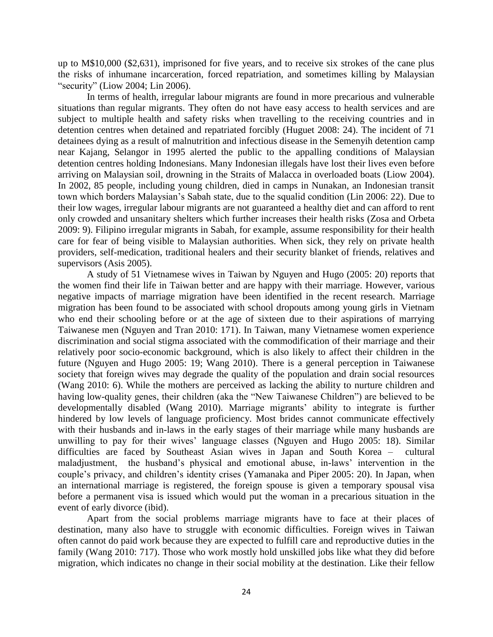up to M\$10,000 (\$2,631), imprisoned for five years, and to receive six strokes of the cane plus the risks of inhumane incarceration, forced repatriation, and sometimes killing by Malaysian "security" (Liow 2004; Lin 2006).

In terms of health, irregular labour migrants are found in more precarious and vulnerable situations than regular migrants. They often do not have easy access to health services and are subject to multiple health and safety risks when travelling to the receiving countries and in detention centres when detained and repatriated forcibly (Huguet 2008: 24). The incident of 71 detainees dying as a result of malnutrition and infectious disease in the Semenyih detention camp near Kajang, Selangor in 1995 alerted the public to the appalling conditions of Malaysian detention centres holding Indonesians. Many Indonesian illegals have lost their lives even before arriving on Malaysian soil, drowning in the Straits of Malacca in overloaded boats (Liow 2004). In 2002, 85 people, including young children, died in camps in Nunakan, an Indonesian transit town which borders Malaysian's Sabah state, due to the squalid condition (Lin 2006: 22). Due to their low wages, irregular labour migrants are not guaranteed a healthy diet and can afford to rent only crowded and unsanitary shelters which further increases their health risks (Zosa and Orbeta 2009: 9). Filipino irregular migrants in Sabah, for example, assume responsibility for their health care for fear of being visible to Malaysian authorities. When sick, they rely on private health providers, self-medication, traditional healers and their security blanket of friends, relatives and supervisors (Asis 2005).

A study of 51 Vietnamese wives in Taiwan by Nguyen and Hugo (2005: 20) reports that the women find their life in Taiwan better and are happy with their marriage. However, various negative impacts of marriage migration have been identified in the recent research. Marriage migration has been found to be associated with school dropouts among young girls in Vietnam who end their schooling before or at the age of sixteen due to their aspirations of marrying Taiwanese men (Nguyen and Tran 2010: 171). In Taiwan, many Vietnamese women experience discrimination and social stigma associated with the commodification of their marriage and their relatively poor socio-economic background, which is also likely to affect their children in the future (Nguyen and Hugo 2005: 19; Wang 2010). There is a general perception in Taiwanese society that foreign wives may degrade the quality of the population and drain social resources (Wang 2010: 6). While the mothers are perceived as lacking the ability to nurture children and having low-quality genes, their children (aka the "New Taiwanese Children") are believed to be developmentally disabled (Wang 2010). Marriage migrants' ability to integrate is further hindered by low levels of language proficiency. Most brides cannot communicate effectively with their husbands and in-laws in the early stages of their marriage while many husbands are unwilling to pay for their wives' language classes (Nguyen and Hugo 2005: 18). Similar difficulties are faced by Southeast Asian wives in Japan and South Korea – cultural maladjustment, the husband's physical and emotional abuse, in-laws' intervention in the couple's privacy, and children's identity crises (Yamanaka and Piper 2005: 20). In Japan, when an international marriage is registered, the foreign spouse is given a temporary spousal visa before a permanent visa is issued which would put the woman in a precarious situation in the event of early divorce (ibid).

Apart from the social problems marriage migrants have to face at their places of destination, many also have to struggle with economic difficulties. Foreign wives in Taiwan often cannot do paid work because they are expected to fulfill care and reproductive duties in the family (Wang 2010: 717). Those who work mostly hold unskilled jobs like what they did before migration, which indicates no change in their social mobility at the destination. Like their fellow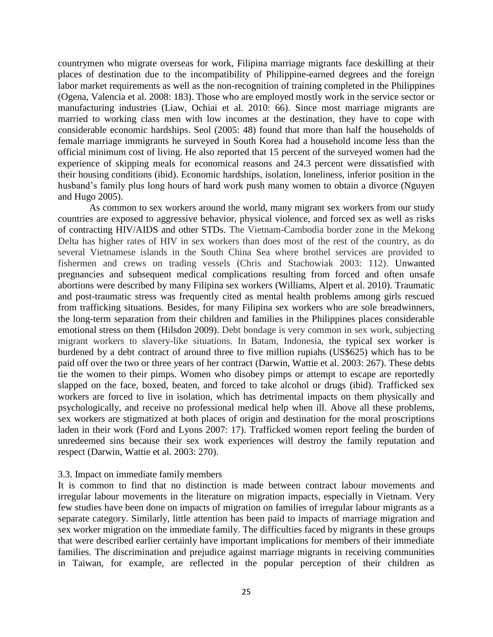countrymen who migrate overseas for work, Filipina marriage migrants face deskilling at their places of destination due to the incompatibility of Philippine-earned degrees and the foreign labor market requirements as well as the non-recognition of training completed in the Philippines (Ogena, Valencia et al. 2008: 183). Those who are employed mostly work in the service sector or manufacturing industries (Liaw, Ochiai et al. 2010: 66). Since most marriage migrants are married to working class men with low incomes at the destination, they have to cope with considerable economic hardships. Seol (2005: 48) found that more than half the households of female marriage immigrants he surveyed in South Korea had a household income less than the official minimum cost of living. He also reported that 15 percent of the surveyed women had the experience of skipping meals for economical reasons and 24.3 percent were dissatisfied with their housing conditions (ibid). Economic hardships, isolation, loneliness, inferior position in the husband's family plus long hours of hard work push many women to obtain a divorce (Nguyen and Hugo 2005).

As common to sex workers around the world, many migrant sex workers from our study countries are exposed to aggressive behavior, physical violence, and forced sex as well as risks of contracting HIV/AIDS and other STDs. The Vietnam-Cambodia border zone in the Mekong Delta has higher rates of HIV in sex workers than does most of the rest of the country, as do several Vietnamese islands in the South China Sea where brothel services are provided to fishermen and crews on trading vessels (Chris and Stachowiak 2003: 112). Unwanted pregnancies and subsequent medical complications resulting from forced and often unsafe abortions were described by many Filipina sex workers (Williams, Alpert et al. 2010). Traumatic and post-traumatic stress was frequently cited as mental health problems among girls rescued from trafficking situations. Besides, for many Filipina sex workers who are sole breadwinners, the long-term separation from their children and families in the Philippines places considerable emotional stress on them (Hilsdon 2009). Debt bondage is very common in sex work, subjecting migrant workers to slavery-like situations. In Batam, Indonesia, the typical sex worker is burdened by a debt contract of around three to five million rupiahs (US\$625) which has to be paid off over the two or three years of her contract (Darwin, Wattie et al. 2003: 267). These debts tie the women to their pimps. Women who disobey pimps or attempt to escape are reportedly slapped on the face, boxed, beaten, and forced to take alcohol or drugs (ibid). Trafficked sex workers are forced to live in isolation, which has detrimental impacts on them physically and psychologically, and receive no professional medical help when ill. Above all these problems, sex workers are stigmatized at both places of origin and destination for the moral proscriptions laden in their work (Ford and Lyons 2007: 17). Trafficked women report feeling the burden of unredeemed sins because their sex work experiences will destroy the family reputation and respect (Darwin, Wattie et al. 2003: 270).

#### 3.3. Impact on immediate family members

It is common to find that no distinction is made between contract labour movements and irregular labour movements in the literature on migration impacts, especially in Vietnam. Very few studies have been done on impacts of migration on families of irregular labour migrants as a separate category. Similarly, little attention has been paid to impacts of marriage migration and sex worker migration on the immediate family. The difficulties faced by migrants in these groups that were described earlier certainly have important implications for members of their immediate families. The discrimination and prejudice against marriage migrants in receiving communities in Taiwan, for example, are reflected in the popular perception of their children as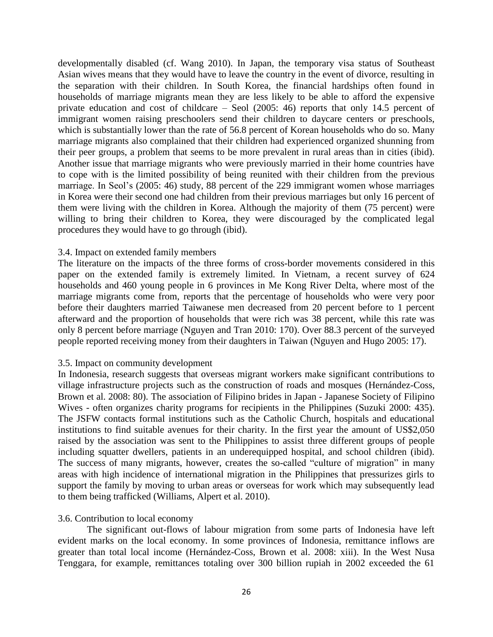developmentally disabled (cf. Wang 2010). In Japan, the temporary visa status of Southeast Asian wives means that they would have to leave the country in the event of divorce, resulting in the separation with their children. In South Korea, the financial hardships often found in households of marriage migrants mean they are less likely to be able to afford the expensive private education and cost of childcare – Seol (2005: 46) reports that only 14.5 percent of immigrant women raising preschoolers send their children to daycare centers or preschools, which is substantially lower than the rate of 56.8 percent of Korean households who do so. Many marriage migrants also complained that their children had experienced organized shunning from their peer groups, a problem that seems to be more prevalent in rural areas than in cities (ibid). Another issue that marriage migrants who were previously married in their home countries have to cope with is the limited possibility of being reunited with their children from the previous marriage. In Seol's (2005: 46) study, 88 percent of the 229 immigrant women whose marriages in Korea were their second one had children from their previous marriages but only 16 percent of them were living with the children in Korea. Although the majority of them (75 percent) were willing to bring their children to Korea, they were discouraged by the complicated legal procedures they would have to go through (ibid).

## 3.4. Impact on extended family members

The literature on the impacts of the three forms of cross-border movements considered in this paper on the extended family is extremely limited. In Vietnam, a recent survey of 624 households and 460 young people in 6 provinces in Me Kong River Delta, where most of the marriage migrants come from, reports that the percentage of households who were very poor before their daughters married Taiwanese men decreased from 20 percent before to 1 percent afterward and the proportion of households that were rich was 38 percent, while this rate was only 8 percent before marriage (Nguyen and Tran 2010: 170). Over 88.3 percent of the surveyed people reported receiving money from their daughters in Taiwan (Nguyen and Hugo 2005: 17).

## 3.5. Impact on community development

In Indonesia, research suggests that overseas migrant workers make significant contributions to village infrastructure projects such as the construction of roads and mosques (Hernández-Coss, Brown et al. 2008: 80). The association of Filipino brides in Japan - Japanese Society of Filipino Wives - often organizes charity programs for recipients in the Philippines (Suzuki 2000: 435). The JSFW contacts formal institutions such as the Catholic Church, hospitals and educational institutions to find suitable avenues for their charity. In the first year the amount of US\$2,050 raised by the association was sent to the Philippines to assist three different groups of people including squatter dwellers, patients in an underequipped hospital, and school children (ibid). The success of many migrants, however, creates the so-called "culture of migration" in many areas with high incidence of international migration in the Philippines that pressurizes girls to support the family by moving to urban areas or overseas for work which may subsequently lead to them being trafficked (Williams, Alpert et al. 2010).

## 3.6. Contribution to local economy

The significant out-flows of labour migration from some parts of Indonesia have left evident marks on the local economy. In some provinces of Indonesia, remittance inflows are greater than total local income (Hernández-Coss, Brown et al. 2008: xiii). In the West Nusa Tenggara, for example, remittances totaling over 300 billion rupiah in 2002 exceeded the 61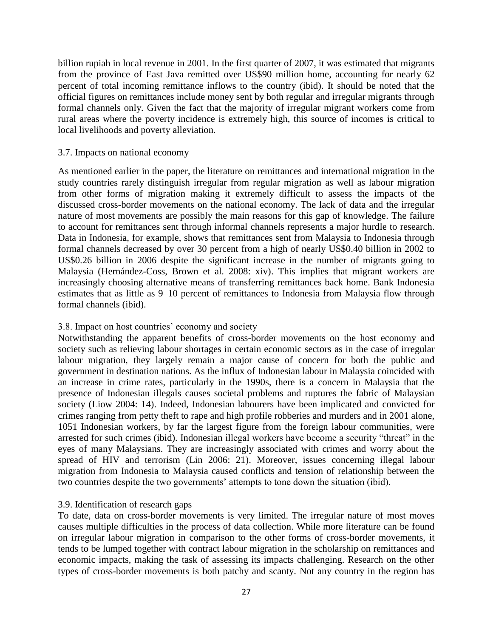billion rupiah in local revenue in 2001. In the first quarter of 2007, it was estimated that migrants from the province of East Java remitted over US\$90 million home, accounting for nearly 62 percent of total incoming remittance inflows to the country (ibid). It should be noted that the official figures on remittances include money sent by both regular and irregular migrants through formal channels only. Given the fact that the majority of irregular migrant workers come from rural areas where the poverty incidence is extremely high, this source of incomes is critical to local livelihoods and poverty alleviation.

## 3.7. Impacts on national economy

As mentioned earlier in the paper, the literature on remittances and international migration in the study countries rarely distinguish irregular from regular migration as well as labour migration from other forms of migration making it extremely difficult to assess the impacts of the discussed cross-border movements on the national economy. The lack of data and the irregular nature of most movements are possibly the main reasons for this gap of knowledge. The failure to account for remittances sent through informal channels represents a major hurdle to research. Data in Indonesia, for example, shows that remittances sent from Malaysia to Indonesia through formal channels decreased by over 30 percent from a high of nearly US\$0.40 billion in 2002 to US\$0.26 billion in 2006 despite the significant increase in the number of migrants going to Malaysia (Hernández-Coss, Brown et al. 2008: xiv). This implies that migrant workers are increasingly choosing alternative means of transferring remittances back home. Bank Indonesia estimates that as little as 9–10 percent of remittances to Indonesia from Malaysia flow through formal channels (ibid).

# 3.8. Impact on host countries' economy and society

Notwithstanding the apparent benefits of cross-border movements on the host economy and society such as relieving labour shortages in certain economic sectors as in the case of irregular labour migration, they largely remain a major cause of concern for both the public and government in destination nations. As the influx of Indonesian labour in Malaysia coincided with an increase in crime rates, particularly in the 1990s, there is a concern in Malaysia that the presence of Indonesian illegals causes societal problems and ruptures the fabric of Malaysian society (Liow 2004: 14). Indeed, Indonesian labourers have been implicated and convicted for crimes ranging from petty theft to rape and high profile robberies and murders and in 2001 alone, 1051 Indonesian workers, by far the largest figure from the foreign labour communities, were arrested for such crimes (ibid). Indonesian illegal workers have become a security "threat" in the eyes of many Malaysians. They are increasingly associated with crimes and worry about the spread of HIV and terrorism (Lin 2006: 21). Moreover, issues concerning illegal labour migration from Indonesia to Malaysia caused conflicts and tension of relationship between the two countries despite the two governments' attempts to tone down the situation (ibid).

# 3.9. Identification of research gaps

To date, data on cross-border movements is very limited. The irregular nature of most moves causes multiple difficulties in the process of data collection. While more literature can be found on irregular labour migration in comparison to the other forms of cross-border movements, it tends to be lumped together with contract labour migration in the scholarship on remittances and economic impacts, making the task of assessing its impacts challenging. Research on the other types of cross-border movements is both patchy and scanty. Not any country in the region has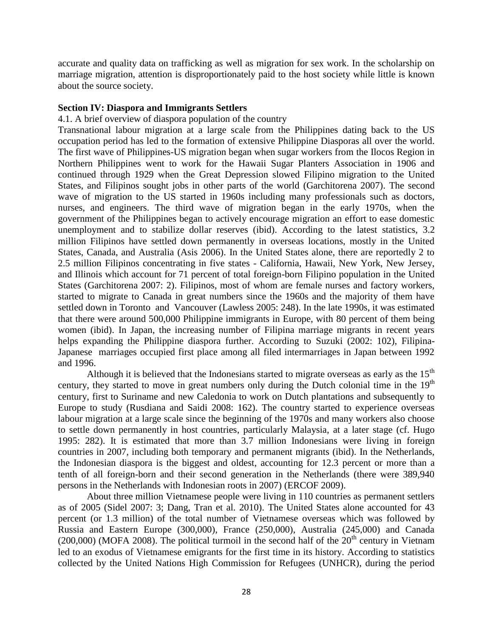accurate and quality data on trafficking as well as migration for sex work. In the scholarship on marriage migration, attention is disproportionately paid to the host society while little is known about the source society.

## **Section IV: Diaspora and Immigrants Settlers**

#### 4.1. A brief overview of diaspora population of the country

Transnational labour migration at a large scale from the Philippines dating back to the US occupation period has led to the formation of extensive Philippine Diasporas all over the world. The first wave of Philippines-US migration began when sugar workers from the Ilocos Region in Northern Philippines went to work for the Hawaii Sugar Planters Association in 1906 and continued through 1929 when the Great Depression slowed Filipino migration to the United States, and Filipinos sought jobs in other parts of the world (Garchitorena 2007). The second wave of migration to the US started in 1960s including many professionals such as doctors, nurses, and engineers. The third wave of migration began in the early 1970s, when the government of the Philippines began to actively encourage migration an effort to ease domestic unemployment and to stabilize dollar reserves (ibid). According to the latest statistics, 3.2 million Filipinos have settled down permanently in overseas locations, mostly in the United States, Canada, and Australia (Asis 2006). In the United States alone, there are reportedly 2 to 2.5 million Filipinos concentrating in five states - California, Hawaii, New York, New Jersey, and Illinois which account for 71 percent of total foreign-born Filipino population in the United States (Garchitorena 2007: 2). Filipinos, most of whom are female nurses and factory workers, started to migrate to Canada in great numbers since the 1960s and the majority of them have settled down in Toronto and Vancouver (Lawless 2005: 248). In the late 1990s, it was estimated that there were around 500,000 Philippine immigrants in Europe, with 80 percent of them being women (ibid). In Japan, the increasing number of Filipina marriage migrants in recent years helps expanding the Philippine diaspora further. According to Suzuki (2002: 102), Filipina-Japanese marriages occupied first place among all filed intermarriages in Japan between 1992 and 1996.

Although it is believed that the Indonesians started to migrate overseas as early as the  $15<sup>th</sup>$ century, they started to move in great numbers only during the Dutch colonial time in the  $19<sup>th</sup>$ century, first to Suriname and new Caledonia to work on Dutch plantations and subsequently to Europe to study (Rusdiana and Saidi 2008: 162). The country started to experience overseas labour migration at a large scale since the beginning of the 1970s and many workers also choose to settle down permanently in host countries, particularly Malaysia, at a later stage (cf. Hugo 1995: 282). It is estimated that more than 3.7 million Indonesians were living in foreign countries in 2007, including both temporary and permanent migrants (ibid). In the Netherlands, the Indonesian diaspora is the biggest and oldest, accounting for 12.3 percent or more than a tenth of all foreign-born and their second generation in the Netherlands (there were 389,940 persons in the Netherlands with Indonesian roots in 2007) (ERCOF 2009).

About three million Vietnamese people were living in 110 countries as permanent settlers as of 2005 (Sidel 2007: 3; Dang, Tran et al. 2010). The United States alone accounted for 43 percent (or 1.3 million) of the total number of Vietnamese overseas which was followed by Russia and Eastern Europe (300,000), France (250,000), Australia (245,000) and Canada (200,000) (MOFA 2008). The political turmoil in the second half of the  $20<sup>th</sup>$  century in Vietnam led to an exodus of Vietnamese emigrants for the first time in its history. According to statistics collected by the United Nations High Commission for Refugees (UNHCR), during the period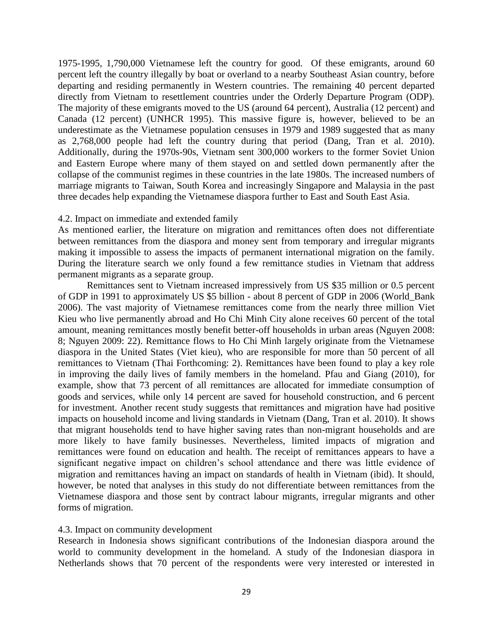1975-1995, 1,790,000 Vietnamese left the country for good. Of these emigrants, around 60 percent left the country illegally by boat or overland to a nearby Southeast Asian country, before departing and residing permanently in Western countries. The remaining 40 percent departed directly from Vietnam to resettlement countries under the Orderly Departure Program (ODP). The majority of these emigrants moved to the US (around 64 percent), Australia (12 percent) and Canada (12 percent) (UNHCR 1995). This massive figure is, however, believed to be an underestimate as the Vietnamese population censuses in 1979 and 1989 suggested that as many as 2,768,000 people had left the country during that period (Dang, Tran et al. 2010). Additionally, during the 1970s-90s, Vietnam sent 300,000 workers to the former Soviet Union and Eastern Europe where many of them stayed on and settled down permanently after the collapse of the communist regimes in these countries in the late 1980s. The increased numbers of marriage migrants to Taiwan, South Korea and increasingly Singapore and Malaysia in the past three decades help expanding the Vietnamese diaspora further to East and South East Asia.

## 4.2. Impact on immediate and extended family

As mentioned earlier, the literature on migration and remittances often does not differentiate between remittances from the diaspora and money sent from temporary and irregular migrants making it impossible to assess the impacts of permanent international migration on the family. During the literature search we only found a few remittance studies in Vietnam that address permanent migrants as a separate group.

Remittances sent to Vietnam increased impressively from US \$35 million or 0.5 percent of GDP in 1991 to approximately US \$5 billion - about 8 percent of GDP in 2006 (World\_Bank 2006). The vast majority of Vietnamese remittances come from the nearly three million Viet Kieu who live permanently abroad and Ho Chi Minh City alone receives 60 percent of the total amount, meaning remittances mostly benefit better-off households in urban areas (Nguyen 2008: 8; Nguyen 2009: 22). Remittance flows to Ho Chi Minh largely originate from the Vietnamese diaspora in the United States (Viet kieu), who are responsible for more than 50 percent of all remittances to Vietnam (Thai Forthcoming: 2). Remittances have been found to play a key role in improving the daily lives of family members in the homeland. Pfau and Giang (2010), for example, show that 73 percent of all remittances are allocated for immediate consumption of goods and services, while only 14 percent are saved for household construction, and 6 percent for investment. Another recent study suggests that remittances and migration have had positive impacts on household income and living standards in Vietnam (Dang, Tran et al. 2010). It shows that migrant households tend to have higher saving rates than non-migrant households and are more likely to have family businesses. Nevertheless, limited impacts of migration and remittances were found on education and health. The receipt of remittances appears to have a significant negative impact on children's school attendance and there was little evidence of migration and remittances having an impact on standards of health in Vietnam (ibid). It should, however, be noted that analyses in this study do not differentiate between remittances from the Vietnamese diaspora and those sent by contract labour migrants, irregular migrants and other forms of migration.

# 4.3. Impact on community development

Research in Indonesia shows significant contributions of the Indonesian diaspora around the world to community development in the homeland. A study of the Indonesian diaspora in Netherlands shows that 70 percent of the respondents were very interested or interested in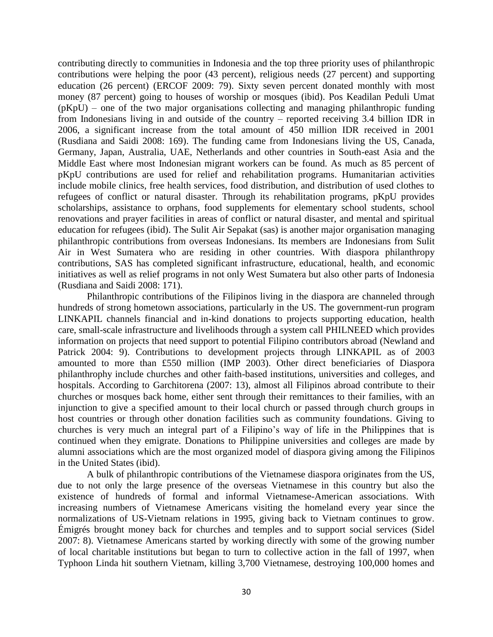contributing directly to communities in Indonesia and the top three priority uses of philanthropic contributions were helping the poor (43 percent), religious needs (27 percent) and supporting education (26 percent) (ERCOF 2009: 79). Sixty seven percent donated monthly with most money (87 percent) going to houses of worship or mosques (ibid). Pos Keadilan Peduli Umat (pKpU) – one of the two major organisations collecting and managing philanthropic funding from Indonesians living in and outside of the country – reported receiving 3.4 billion IDR in 2006, a significant increase from the total amount of 450 million IDR received in 2001 (Rusdiana and Saidi 2008: 169). The funding came from Indonesians living the US, Canada, Germany, Japan, Australia, UAE, Netherlands and other countries in South-east Asia and the Middle East where most Indonesian migrant workers can be found. As much as 85 percent of pKpU contributions are used for relief and rehabilitation programs. Humanitarian activities include mobile clinics, free health services, food distribution, and distribution of used clothes to refugees of conflict or natural disaster. Through its rehabilitation programs, pKpU provides scholarships, assistance to orphans, food supplements for elementary school students, school renovations and prayer facilities in areas of conflict or natural disaster, and mental and spiritual education for refugees (ibid). The Sulit Air Sepakat (sas) is another major organisation managing philanthropic contributions from overseas Indonesians. Its members are Indonesians from Sulit Air in West Sumatera who are residing in other countries. With diaspora philanthropy contributions, SAS has completed significant infrastructure, educational, health, and economic initiatives as well as relief programs in not only West Sumatera but also other parts of Indonesia (Rusdiana and Saidi 2008: 171).

Philanthropic contributions of the Filipinos living in the diaspora are channeled through hundreds of strong hometown associations, particularly in the US. The government-run program LINKAPIL channels financial and in-kind donations to projects supporting education, health care, small-scale infrastructure and livelihoods through a system call PHILNEED which provides information on projects that need support to potential Filipino contributors abroad (Newland and Patrick 2004: 9). Contributions to development projects through LINKAPIL as of 2003 amounted to more than £550 million (IMP 2003). Other direct beneficiaries of Diaspora philanthrophy include churches and other faith-based institutions, universities and colleges, and hospitals. According to Garchitorena (2007: 13), almost all Filipinos abroad contribute to their churches or mosques back home, either sent through their remittances to their families, with an injunction to give a specified amount to their local church or passed through church groups in host countries or through other donation facilities such as community foundations. Giving to churches is very much an integral part of a Filipino's way of life in the Philippines that is continued when they emigrate. Donations to Philippine universities and colleges are made by alumni associations which are the most organized model of diaspora giving among the Filipinos in the United States (ibid).

A bulk of philanthropic contributions of the Vietnamese diaspora originates from the US, due to not only the large presence of the overseas Vietnamese in this country but also the existence of hundreds of formal and informal Vietnamese-American associations. With increasing numbers of Vietnamese Americans visiting the homeland every year since the normalizations of US-Vietnam relations in 1995, giving back to Vietnam continues to grow. Émigrés brought money back for churches and temples and to support social services (Sidel 2007: 8). Vietnamese Americans started by working directly with some of the growing number of local charitable institutions but began to turn to collective action in the fall of 1997, when Typhoon Linda hit southern Vietnam, killing 3,700 Vietnamese, destroying 100,000 homes and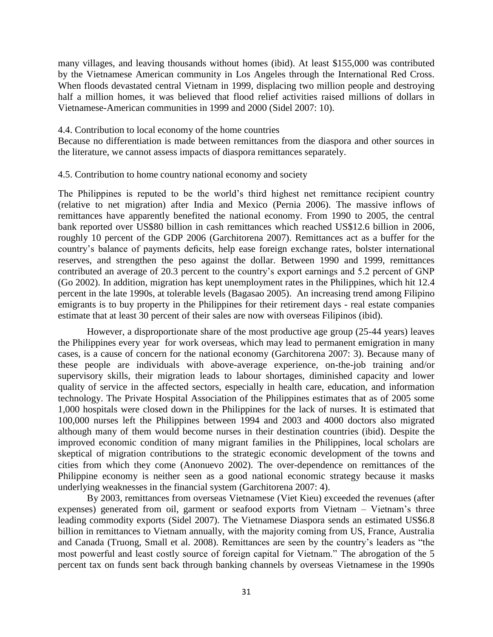many villages, and leaving thousands without homes (ibid). At least \$155,000 was contributed by the Vietnamese American community in Los Angeles through the International Red Cross. When floods devastated central Vietnam in 1999, displacing two million people and destroying half a million homes, it was believed that flood relief activities raised millions of dollars in Vietnamese-American communities in 1999 and 2000 (Sidel 2007: 10).

#### 4.4. Contribution to local economy of the home countries

Because no differentiation is made between remittances from the diaspora and other sources in the literature, we cannot assess impacts of diaspora remittances separately.

#### 4.5. Contribution to home country national economy and society

The Philippines is reputed to be the world's third highest net remittance recipient country (relative to net migration) after India and Mexico (Pernia 2006). The massive inflows of remittances have apparently benefited the national economy. From 1990 to 2005, the central bank reported over US\$80 billion in cash remittances which reached US\$12.6 billion in 2006, roughly 10 percent of the GDP 2006 (Garchitorena 2007). Remittances act as a buffer for the country's balance of payments deficits, help ease foreign exchange rates, bolster international reserves, and strengthen the peso against the dollar. Between 1990 and 1999, remittances contributed an average of 20.3 percent to the country's export earnings and 5.2 percent of GNP (Go 2002). In addition, migration has kept unemployment rates in the Philippines, which hit 12.4 percent in the late 1990s, at tolerable levels (Bagasao 2005). An increasing trend among Filipino emigrants is to buy property in the Philippines for their retirement days - real estate companies estimate that at least 30 percent of their sales are now with overseas Filipinos (ibid).

However, a disproportionate share of the most productive age group (25-44 years) leaves the Philippines every year for work overseas, which may lead to permanent emigration in many cases, is a cause of concern for the national economy (Garchitorena 2007: 3). Because many of these people are individuals with above-average experience, on-the-job training and/or supervisory skills, their migration leads to labour shortages, diminished capacity and lower quality of service in the affected sectors, especially in health care, education, and information technology. The Private Hospital Association of the Philippines estimates that as of 2005 some 1,000 hospitals were closed down in the Philippines for the lack of nurses. It is estimated that 100,000 nurses left the Philippines between 1994 and 2003 and 4000 doctors also migrated although many of them would become nurses in their destination countries (ibid). Despite the improved economic condition of many migrant families in the Philippines, local scholars are skeptical of migration contributions to the strategic economic development of the towns and cities from which they come (Anonuevo 2002). The over-dependence on remittances of the Philippine economy is neither seen as a good national economic strategy because it masks underlying weaknesses in the financial system (Garchitorena 2007: 4).

By 2003, remittances from overseas Vietnamese (Viet Kieu) exceeded the revenues (after expenses) generated from oil, garment or seafood exports from Vietnam – Vietnam's three leading commodity exports (Sidel 2007). The Vietnamese Diaspora sends an estimated US\$6.8 billion in remittances to Vietnam annually, with the majority coming from US, France, Australia and Canada (Truong, Small et al. 2008). Remittances are seen by the country's leaders as "the most powerful and least costly source of foreign capital for Vietnam." The abrogation of the 5 percent tax on funds sent back through banking channels by overseas Vietnamese in the 1990s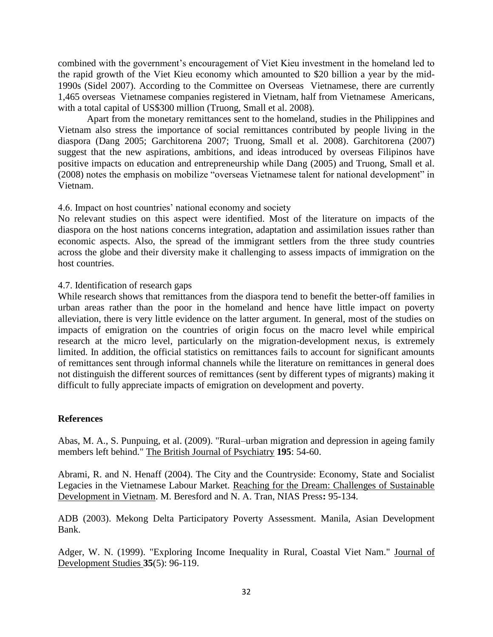combined with the government's encouragement of Viet Kieu investment in the homeland led to the rapid growth of the Viet Kieu economy which amounted to \$20 billion a year by the mid-1990s (Sidel 2007). According to the Committee on Overseas Vietnamese, there are currently 1,465 overseas Vietnamese companies registered in Vietnam, half from Vietnamese Americans, with a total capital of US\$300 million (Truong, Small et al. 2008).

Apart from the monetary remittances sent to the homeland, studies in the Philippines and Vietnam also stress the importance of social remittances contributed by people living in the diaspora (Dang 2005; Garchitorena 2007; Truong, Small et al. 2008). Garchitorena (2007) suggest that the new aspirations, ambitions, and ideas introduced by overseas Filipinos have positive impacts on education and entrepreneurship while Dang (2005) and Truong, Small et al.  $(2008)$  notes the emphasis on mobilize "overseas Vietnamese talent for national development" in Vietnam.

# 4.6. Impact on host countries' national economy and society

No relevant studies on this aspect were identified. Most of the literature on impacts of the diaspora on the host nations concerns integration, adaptation and assimilation issues rather than economic aspects. Also, the spread of the immigrant settlers from the three study countries across the globe and their diversity make it challenging to assess impacts of immigration on the host countries.

## 4.7. Identification of research gaps

While research shows that remittances from the diaspora tend to benefit the better-off families in urban areas rather than the poor in the homeland and hence have little impact on poverty alleviation, there is very little evidence on the latter argument. In general, most of the studies on impacts of emigration on the countries of origin focus on the macro level while empirical research at the micro level, particularly on the migration-development nexus, is extremely limited. In addition, the official statistics on remittances fails to account for significant amounts of remittances sent through informal channels while the literature on remittances in general does not distinguish the different sources of remittances (sent by different types of migrants) making it difficult to fully appreciate impacts of emigration on development and poverty.

## **References**

Abas, M. A., S. Punpuing, et al. (2009). "Rural–urban migration and depression in ageing family members left behind." The British Journal of Psychiatry **195**: 54-60.

Abrami, R. and N. Henaff (2004). The City and the Countryside: Economy, State and Socialist Legacies in the Vietnamese Labour Market. Reaching for the Dream: Challenges of Sustainable Development in Vietnam. M. Beresford and N. A. Tran, NIAS Press**:** 95-134.

ADB (2003). Mekong Delta Participatory Poverty Assessment. Manila, Asian Development Bank.

Adger, W. N. (1999). "Exploring Income Inequality in Rural, Coastal Viet Nam." Journal of Development Studies **35**(5): 96-119.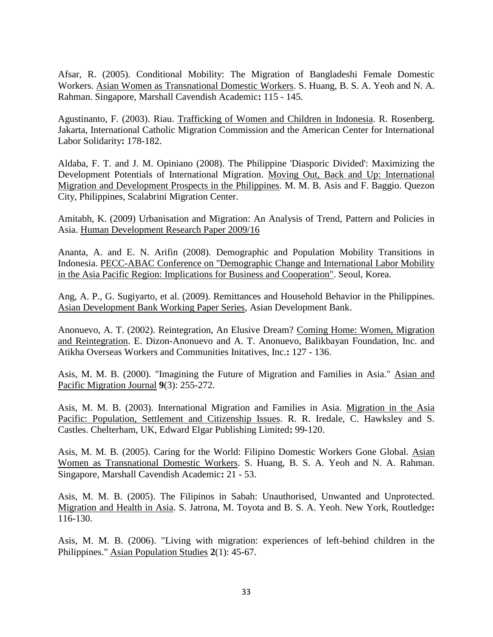Afsar, R. (2005). Conditional Mobility: The Migration of Bangladeshi Female Domestic Workers. Asian Women as Transnational Domestic Workers. S. Huang, B. S. A. Yeoh and N. A. Rahman. Singapore, Marshall Cavendish Academic**:** 115 - 145.

Agustinanto, F. (2003). Riau. Trafficking of Women and Children in Indonesia. R. Rosenberg. Jakarta, International Catholic Migration Commission and the American Center for International Labor Solidarity**:** 178-182.

Aldaba, F. T. and J. M. Opiniano (2008). The Philippine 'Diasporic Divided': Maximizing the Development Potentials of International Migration. Moving Out, Back and Up: International Migration and Development Prospects in the Philippines. M. M. B. Asis and F. Baggio. Quezon City, Philippines, Scalabrini Migration Center.

Amitabh, K. (2009) Urbanisation and Migration: An Analysis of Trend, Pattern and Policies in Asia. Human Development Research Paper 2009/16

Ananta, A. and E. N. Arifin (2008). Demographic and Population Mobility Transitions in Indonesia. PECC-ABAC Conference on "Demographic Change and International Labor Mobility in the Asia Pacific Region: Implications for Business and Cooperation". Seoul, Korea.

Ang, A. P., G. Sugiyarto, et al. (2009). Remittances and Household Behavior in the Philippines. Asian Development Bank Working Paper Series, Asian Development Bank.

Anonuevo, A. T. (2002). Reintegration, An Elusive Dream? Coming Home: Women, Migration and Reintegration. E. Dizon-Anonuevo and A. T. Anonuevo, Balikbayan Foundation, Inc. and Atikha Overseas Workers and Communities Initatives, Inc.**:** 127 - 136.

Asis, M. M. B. (2000). "Imagining the Future of Migration and Families in Asia." Asian and Pacific Migration Journal **9**(3): 255-272.

Asis, M. M. B. (2003). International Migration and Families in Asia. Migration in the Asia Pacific: Population, Settlement and Citizenship Issues. R. R. Iredale, C. Hawksley and S. Castles. Chelterham, UK, Edward Elgar Publishing Limited**:** 99-120.

Asis, M. M. B. (2005). Caring for the World: Filipino Domestic Workers Gone Global. Asian Women as Transnational Domestic Workers. S. Huang, B. S. A. Yeoh and N. A. Rahman. Singapore, Marshall Cavendish Academic**:** 21 - 53.

Asis, M. M. B. (2005). The Filipinos in Sabah: Unauthorised, Unwanted and Unprotected. Migration and Health in Asia. S. Jatrona, M. Toyota and B. S. A. Yeoh. New York, Routledge**:**  116-130.

Asis, M. M. B. (2006). "Living with migration: experiences of left-behind children in the Philippines." Asian Population Studies **2**(1): 45-67.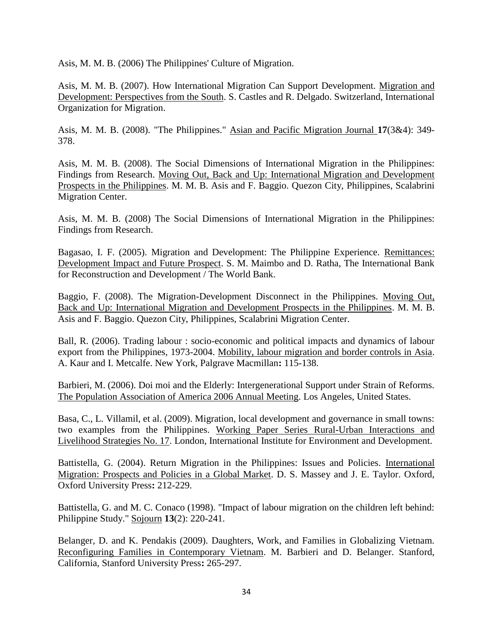Asis, M. M. B. (2006) The Philippines' Culture of Migration.

Asis, M. M. B. (2007). How International Migration Can Support Development. Migration and Development: Perspectives from the South. S. Castles and R. Delgado. Switzerland, International Organization for Migration.

Asis, M. M. B. (2008). "The Philippines." Asian and Pacific Migration Journal **17**(3&4): 349- 378.

Asis, M. M. B. (2008). The Social Dimensions of International Migration in the Philippines: Findings from Research. Moving Out, Back and Up: International Migration and Development Prospects in the Philippines. M. M. B. Asis and F. Baggio. Quezon City, Philippines, Scalabrini Migration Center.

Asis, M. M. B. (2008) The Social Dimensions of International Migration in the Philippines: Findings from Research.

Bagasao, I. F. (2005). Migration and Development: The Philippine Experience. Remittances: Development Impact and Future Prospect. S. M. Maimbo and D. Ratha, The International Bank for Reconstruction and Development / The World Bank.

Baggio, F. (2008). The Migration-Development Disconnect in the Philippines. Moving Out, Back and Up: International Migration and Development Prospects in the Philippines. M. M. B. Asis and F. Baggio. Quezon City, Philippines, Scalabrini Migration Center.

Ball, R. (2006). Trading labour : socio-economic and political impacts and dynamics of labour export from the Philippines, 1973-2004. Mobility, labour migration and border controls in Asia. A. Kaur and I. Metcalfe. New York, Palgrave Macmillan**:** 115-138.

Barbieri, M. (2006). Doi moi and the Elderly: Intergenerational Support under Strain of Reforms. The Population Association of America 2006 Annual Meeting. Los Angeles, United States.

Basa, C., L. Villamil, et al. (2009). Migration, local development and governance in small towns: two examples from the Philippines. Working Paper Series Rural-Urban Interactions and Livelihood Strategies No. 17. London, International Institute for Environment and Development.

Battistella, G. (2004). Return Migration in the Philippines: Issues and Policies. International Migration: Prospects and Policies in a Global Market. D. S. Massey and J. E. Taylor. Oxford, Oxford University Press**:** 212-229.

Battistella, G. and M. C. Conaco (1998). "Impact of labour migration on the children left behind: Philippine Study." Sojourn **13**(2): 220-241.

Belanger, D. and K. Pendakis (2009). Daughters, Work, and Families in Globalizing Vietnam. Reconfiguring Families in Contemporary Vietnam. M. Barbieri and D. Belanger. Stanford, California, Stanford University Press**:** 265-297.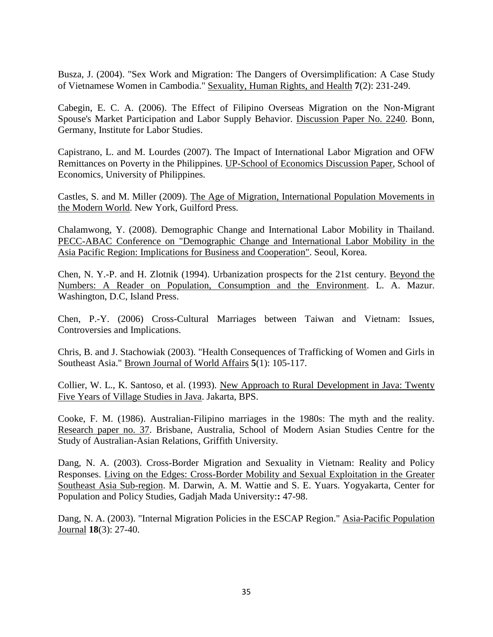Busza, J. (2004). "Sex Work and Migration: The Dangers of Oversimplification: A Case Study of Vietnamese Women in Cambodia." Sexuality, Human Rights, and Health **7**(2): 231-249.

Cabegin, E. C. A. (2006). The Effect of Filipino Overseas Migration on the Non-Migrant Spouse's Market Participation and Labor Supply Behavior. Discussion Paper No. 2240. Bonn, Germany, Institute for Labor Studies.

Capistrano, L. and M. Lourdes (2007). The Impact of International Labor Migration and OFW Remittances on Poverty in the Philippines. UP-School of Economics Discussion Paper, School of Economics, University of Philippines.

Castles, S. and M. Miller (2009). The Age of Migration, International Population Movements in the Modern World. New York, Guilford Press.

Chalamwong, Y. (2008). Demographic Change and International Labor Mobility in Thailand. PECC-ABAC Conference on "Demographic Change and International Labor Mobility in the Asia Pacific Region: Implications for Business and Cooperation". Seoul, Korea.

Chen, N. Y.-P. and H. Zlotnik (1994). Urbanization prospects for the 21st century. Beyond the Numbers: A Reader on Population, Consumption and the Environment. L. A. Mazur. Washington, D.C, Island Press.

Chen, P.-Y. (2006) Cross-Cultural Marriages between Taiwan and Vietnam: Issues, Controversies and Implications.

Chris, B. and J. Stachowiak (2003). "Health Consequences of Trafficking of Women and Girls in Southeast Asia." Brown Journal of World Affairs **5**(1): 105-117.

Collier, W. L., K. Santoso, et al. (1993). New Approach to Rural Development in Java: Twenty Five Years of Village Studies in Java. Jakarta, BPS.

Cooke, F. M. (1986). Australian-Filipino marriages in the 1980s: The myth and the reality. Research paper no. 37. Brisbane, Australia, School of Modern Asian Studies Centre for the Study of Australian-Asian Relations, Griffith University.

Dang, N. A. (2003). Cross-Border Migration and Sexuality in Vietnam: Reality and Policy Responses. Living on the Edges: Cross-Border Mobility and Sexual Exploitation in the Greater Southeast Asia Sub-region. M. Darwin, A. M. Wattie and S. E. Yuars. Yogyakarta, Center for Population and Policy Studies, Gadjah Mada University:**:** 47-98.

Dang, N. A. (2003). "Internal Migration Policies in the ESCAP Region." Asia-Pacific Population Journal **18**(3): 27-40.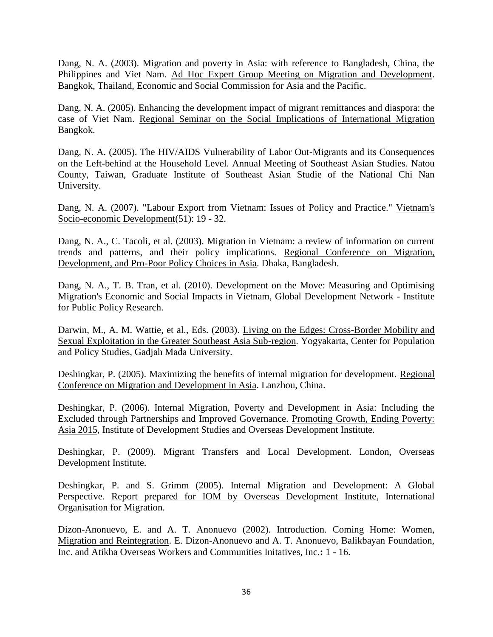Dang, N. A. (2003). Migration and poverty in Asia: with reference to Bangladesh, China, the Philippines and Viet Nam. Ad Hoc Expert Group Meeting on Migration and Development. Bangkok, Thailand, Economic and Social Commission for Asia and the Pacific.

Dang, N. A. (2005). Enhancing the development impact of migrant remittances and diaspora: the case of Viet Nam. Regional Seminar on the Social Implications of International Migration Bangkok.

Dang, N. A. (2005). The HIV/AIDS Vulnerability of Labor Out-Migrants and its Consequences on the Left-behind at the Household Level. Annual Meeting of Southeast Asian Studies. Natou County, Taiwan, Graduate Institute of Southeast Asian Studie of the National Chi Nan University.

Dang, N. A. (2007). "Labour Export from Vietnam: Issues of Policy and Practice." Vietnam's Socio-economic Development(51): 19 - 32.

Dang, N. A., C. Tacoli, et al. (2003). Migration in Vietnam: a review of information on current trends and patterns, and their policy implications. Regional Conference on Migration, Development, and Pro-Poor Policy Choices in Asia. Dhaka, Bangladesh.

Dang, N. A., T. B. Tran, et al. (2010). Development on the Move: Measuring and Optimising Migration's Economic and Social Impacts in Vietnam, Global Development Network - Institute for Public Policy Research.

Darwin, M., A. M. Wattie, et al., Eds. (2003). Living on the Edges: Cross-Border Mobility and Sexual Exploitation in the Greater Southeast Asia Sub-region. Yogyakarta, Center for Population and Policy Studies, Gadjah Mada University.

Deshingkar, P. (2005). Maximizing the benefits of internal migration for development. Regional Conference on Migration and Development in Asia. Lanzhou, China.

Deshingkar, P. (2006). Internal Migration, Poverty and Development in Asia: Including the Excluded through Partnerships and Improved Governance. Promoting Growth, Ending Poverty: Asia 2015, Institute of Development Studies and Overseas Development Institute.

Deshingkar, P. (2009). Migrant Transfers and Local Development. London, Overseas Development Institute.

Deshingkar, P. and S. Grimm (2005). Internal Migration and Development: A Global Perspective. Report prepared for IOM by Overseas Development Institute, International Organisation for Migration.

Dizon-Anonuevo, E. and A. T. Anonuevo (2002). Introduction. Coming Home: Women, Migration and Reintegration. E. Dizon-Anonuevo and A. T. Anonuevo, Balikbayan Foundation, Inc. and Atikha Overseas Workers and Communities Initatives, Inc.**:** 1 - 16.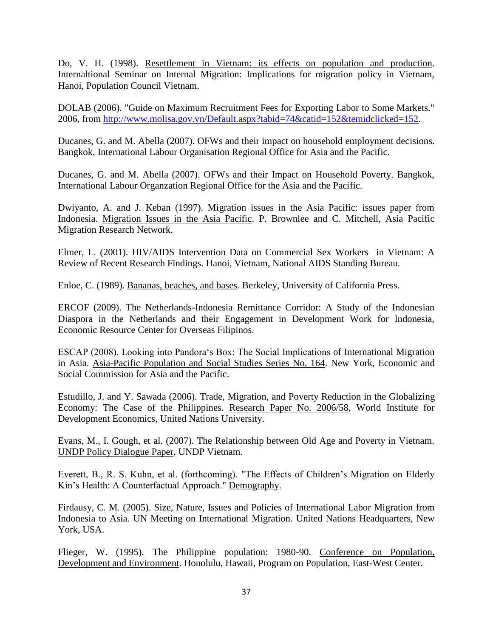Do, V. H. (1998). Resettlement in Vietnam: its effects on population and production. Internaltional Seminar on Internal Migration: Implications for migration policy in Vietnam, Hanoi, Population Council Vietnam.

DOLAB (2006). "Guide on Maximum Recruitment Fees for Exporting Labor to Some Markets." 2006, from [http://www.molisa.gov.vn/Default.aspx?tabid=74&catid=152&temidclicked=152.](http://www.molisa.gov.vn/Default.aspx?tabid=74&catid=152&temidclicked=152)

Ducanes, G. and M. Abella (2007). OFWs and their impact on household employment decisions. Bangkok, International Labour Organisation Regional Office for Asia and the Pacific.

Ducanes, G. and M. Abella (2007). OFWs and their Impact on Household Poverty. Bangkok, International Labour Organzation Regional Office for the Asia and the Pacific.

Dwiyanto, A. and J. Keban (1997). Migration issues in the Asia Pacific: issues paper from Indonesia. Migration Issues in the Asia Pacific. P. Brownlee and C. Mitchell, Asia Pacific Migration Research Network.

Elmer, L. (2001). HIV/AIDS Intervention Data on Commercial Sex Workers in Vietnam: A Review of Recent Research Findings. Hanoi, Vietnam, National AIDS Standing Bureau.

Enloe, C. (1989). Bananas, beaches, and bases. Berkeley, University of California Press.

ERCOF (2009). The Netherlands-Indonesia Remittance Corridor: A Study of the Indonesian Diaspora in the Netherlands and their Engagement in Development Work for Indonesia, Economic Resource Center for Overseas Filipinos.

ESCAP (2008). Looking into Pandora's Box: The Social Implications of International Migration in Asia. Asia-Pacific Population and Social Studies Series No. 164. New York, Economic and Social Commission for Asia and the Pacific.

Estudillo, J. and Y. Sawada (2006). Trade, Migration, and Poverty Reduction in the Globalizing Economy: The Case of the Philippines. Research Paper No. 2006/58, World Institute for Development Economics, United Nations University.

Evans, M., I. Gough, et al. (2007). The Relationship between Old Age and Poverty in Vietnam. UNDP Policy Dialogue Paper, UNDP Vietnam.

Everett, B., R. S. Kuhn, et al. (forthcoming). "The Effects of Children's Migration on Elderly Kin's Health: A Counterfactual Approach." Demography.

Firdausy, C. M. (2005). Size, Nature, Issues and Policies of International Labor Migration from Indonesia to Asia. UN Meeting on International Migration. United Nations Headquarters, New York, USA.

Flieger, W. (1995). The Philippine population: 1980-90. Conference on Population, Development and Environment. Honolulu, Hawaii, Program on Population, East-West Center.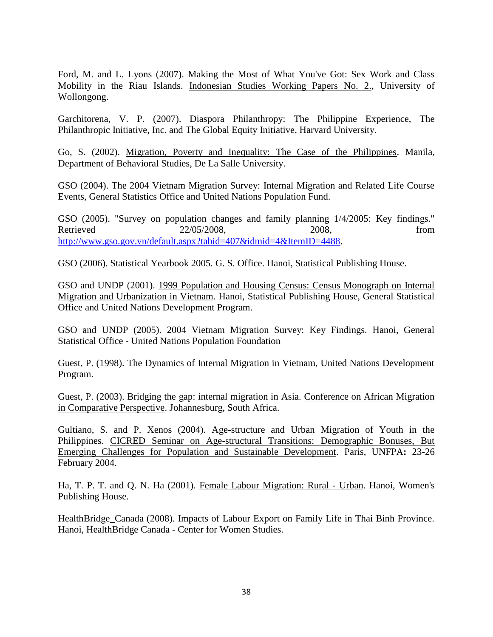Ford, M. and L. Lyons (2007). Making the Most of What You've Got: Sex Work and Class Mobility in the Riau Islands. Indonesian Studies Working Papers No. 2., University of Wollongong.

Garchitorena, V. P. (2007). Diaspora Philanthropy: The Philippine Experience, The Philanthropic Initiative, Inc. and The Global Equity Initiative, Harvard University.

Go, S. (2002). Migration, Poverty and Inequality: The Case of the Philippines. Manila, Department of Behavioral Studies, De La Salle University.

GSO (2004). The 2004 Vietnam Migration Survey: Internal Migration and Related Life Course Events, General Statistics Office and United Nations Population Fund.

GSO (2005). "Survey on population changes and family planning 1/4/2005: Key findings." Retrieved 22/05/2008, 2008, from [http://www.gso.gov.vn/default.aspx?tabid=407&idmid=4&ItemID=4488.](http://www.gso.gov.vn/default.aspx?tabid=407&idmid=4&ItemID=4488)

GSO (2006). Statistical Yearbook 2005. G. S. Office. Hanoi, Statistical Publishing House.

GSO and UNDP (2001). 1999 Population and Housing Census: Census Monograph on Internal Migration and Urbanization in Vietnam. Hanoi, Statistical Publishing House, General Statistical Office and United Nations Development Program.

GSO and UNDP (2005). 2004 Vietnam Migration Survey: Key Findings. Hanoi, General Statistical Office - United Nations Population Foundation

Guest, P. (1998). The Dynamics of Internal Migration in Vietnam, United Nations Development Program.

Guest, P. (2003). Bridging the gap: internal migration in Asia. Conference on African Migration in Comparative Perspective. Johannesburg, South Africa.

Gultiano, S. and P. Xenos (2004). Age-structure and Urban Migration of Youth in the Philippines. CICRED Seminar on Age-structural Transitions: Demographic Bonuses, But Emerging Challenges for Population and Sustainable Development. Paris, UNFPA**:** 23-26 February 2004.

Ha, T. P. T. and Q. N. Ha (2001). Female Labour Migration: Rural - Urban. Hanoi, Women's Publishing House.

HealthBridge\_Canada (2008). Impacts of Labour Export on Family Life in Thai Binh Province. Hanoi, HealthBridge Canada - Center for Women Studies.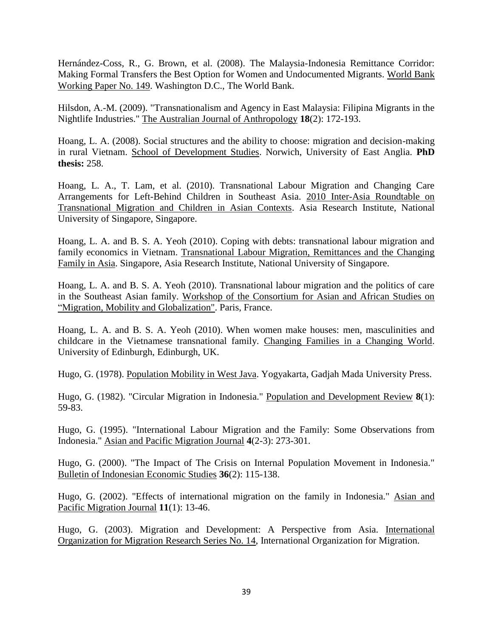Hernández-Coss, R., G. Brown, et al. (2008). The Malaysia-Indonesia Remittance Corridor: Making Formal Transfers the Best Option for Women and Undocumented Migrants. World Bank Working Paper No. 149. Washington D.C., The World Bank.

Hilsdon, A.-M. (2009). "Transnationalism and Agency in East Malaysia: Filipina Migrants in the Nightlife Industries." The Australian Journal of Anthropology **18**(2): 172-193.

Hoang, L. A. (2008). Social structures and the ability to choose: migration and decision-making in rural Vietnam. School of Development Studies. Norwich, University of East Anglia. **PhD thesis:** 258.

Hoang, L. A., T. Lam, et al. (2010). Transnational Labour Migration and Changing Care Arrangements for Left-Behind Children in Southeast Asia. 2010 Inter-Asia Roundtable on Transnational Migration and Children in Asian Contexts. Asia Research Institute, National University of Singapore, Singapore.

Hoang, L. A. and B. S. A. Yeoh (2010). Coping with debts: transnational labour migration and family economics in Vietnam. Transnational Labour Migration, Remittances and the Changing Family in Asia. Singapore, Asia Research Institute, National University of Singapore.

Hoang, L. A. and B. S. A. Yeoh (2010). Transnational labour migration and the politics of care in the Southeast Asian family. Workshop of the Consortium for Asian and African Studies on "Migration, Mobility and Globalization". Paris, France.

Hoang, L. A. and B. S. A. Yeoh (2010). When women make houses: men, masculinities and childcare in the Vietnamese transnational family. Changing Families in a Changing World. University of Edinburgh, Edinburgh, UK.

Hugo, G. (1978). Population Mobility in West Java. Yogyakarta, Gadjah Mada University Press.

Hugo, G. (1982). "Circular Migration in Indonesia." Population and Development Review **8**(1): 59-83.

Hugo, G. (1995). "International Labour Migration and the Family: Some Observations from Indonesia." Asian and Pacific Migration Journal **4**(2-3): 273-301.

Hugo, G. (2000). "The Impact of The Crisis on Internal Population Movement in Indonesia." Bulletin of Indonesian Economic Studies **36**(2): 115-138.

Hugo, G. (2002). "Effects of international migration on the family in Indonesia." Asian and Pacific Migration Journal **11**(1): 13-46.

Hugo, G. (2003). Migration and Development: A Perspective from Asia. International Organization for Migration Research Series No. 14, International Organization for Migration.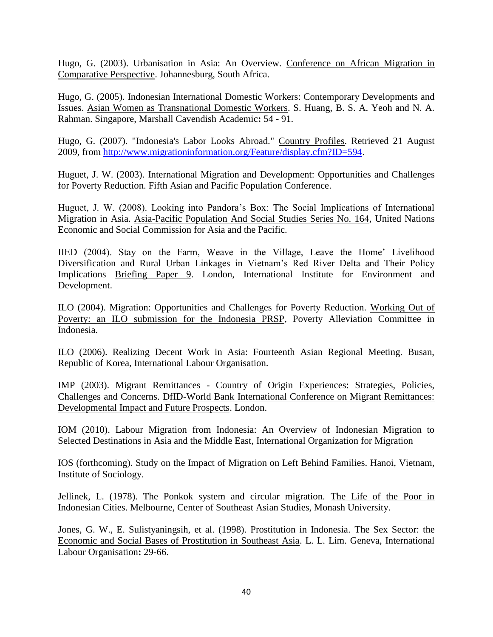Hugo, G. (2003). Urbanisation in Asia: An Overview. Conference on African Migration in Comparative Perspective. Johannesburg, South Africa.

Hugo, G. (2005). Indonesian International Domestic Workers: Contemporary Developments and Issues. Asian Women as Transnational Domestic Workers. S. Huang, B. S. A. Yeoh and N. A. Rahman. Singapore, Marshall Cavendish Academic**:** 54 - 91.

Hugo, G. (2007). "Indonesia's Labor Looks Abroad." Country Profiles. Retrieved 21 August 2009, from [http://www.migrationinformation.org/Feature/display.cfm?ID=594.](http://www.migrationinformation.org/Feature/display.cfm?ID=594)

Huguet, J. W. (2003). International Migration and Development: Opportunities and Challenges for Poverty Reduction. Fifth Asian and Pacific Population Conference.

Huguet, J. W. (2008). Looking into Pandora's Box: The Social Implications of International Migration in Asia. Asia-Pacific Population And Social Studies Series No. 164, United Nations Economic and Social Commission for Asia and the Pacific.

IIED (2004). Stay on the Farm, Weave in the Village, Leave the Home' Livelihood Diversification and Rural–Urban Linkages in Vietnam's Red River Delta and Their Policy Implications Briefing Paper 9. London, International Institute for Environment and Development.

ILO (2004). Migration: Opportunities and Challenges for Poverty Reduction. Working Out of Poverty: an ILO submission for the Indonesia PRSP, Poverty Alleviation Committee in Indonesia.

ILO (2006). Realizing Decent Work in Asia: Fourteenth Asian Regional Meeting. Busan, Republic of Korea, International Labour Organisation.

IMP (2003). Migrant Remittances - Country of Origin Experiences: Strategies, Policies, Challenges and Concerns. DfID-World Bank International Conference on Migrant Remittances: Developmental Impact and Future Prospects. London.

IOM (2010). Labour Migration from Indonesia: An Overview of Indonesian Migration to Selected Destinations in Asia and the Middle East, International Organization for Migration

IOS (forthcoming). Study on the Impact of Migration on Left Behind Families. Hanoi, Vietnam, Institute of Sociology.

Jellinek, L. (1978). The Ponkok system and circular migration. The Life of the Poor in Indonesian Cities. Melbourne, Center of Southeast Asian Studies, Monash University.

Jones, G. W., E. Sulistyaningsih, et al. (1998). Prostitution in Indonesia. The Sex Sector: the Economic and Social Bases of Prostitution in Southeast Asia. L. L. Lim. Geneva, International Labour Organisation**:** 29-66.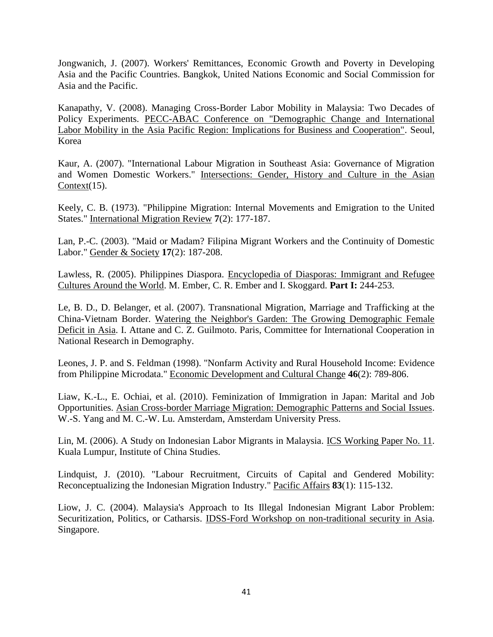Jongwanich, J. (2007). Workers' Remittances, Economic Growth and Poverty in Developing Asia and the Pacific Countries. Bangkok, United Nations Economic and Social Commission for Asia and the Pacific.

Kanapathy, V. (2008). Managing Cross-Border Labor Mobility in Malaysia: Two Decades of Policy Experiments. PECC-ABAC Conference on "Demographic Change and International Labor Mobility in the Asia Pacific Region: Implications for Business and Cooperation". Seoul, Korea

Kaur, A. (2007). "International Labour Migration in Southeast Asia: Governance of Migration and Women Domestic Workers." Intersections: Gender, History and Culture in the Asian Context $(15)$ .

Keely, C. B. (1973). "Philippine Migration: Internal Movements and Emigration to the United States." International Migration Review **7**(2): 177-187.

Lan, P.-C. (2003). "Maid or Madam? Filipina Migrant Workers and the Continuity of Domestic Labor." Gender & Society **17**(2): 187-208.

Lawless, R. (2005). Philippines Diaspora. Encyclopedia of Diasporas: Immigrant and Refugee Cultures Around the World. M. Ember, C. R. Ember and I. Skoggard. **Part I:** 244-253.

Le, B. D., D. Belanger, et al. (2007). Transnational Migration, Marriage and Trafficking at the China-Vietnam Border. Watering the Neighbor's Garden: The Growing Demographic Female Deficit in Asia. I. Attane and C. Z. Guilmoto. Paris, Committee for International Cooperation in National Research in Demography.

Leones, J. P. and S. Feldman (1998). "Nonfarm Activity and Rural Household Income: Evidence from Philippine Microdata." Economic Development and Cultural Change **46**(2): 789-806.

Liaw, K.-L., E. Ochiai, et al. (2010). Feminization of Immigration in Japan: Marital and Job Opportunities. Asian Cross-border Marriage Migration: Demographic Patterns and Social Issues. W.-S. Yang and M. C.-W. Lu. Amsterdam, Amsterdam University Press.

Lin, M. (2006). A Study on Indonesian Labor Migrants in Malaysia. ICS Working Paper No. 11. Kuala Lumpur, Institute of China Studies.

Lindquist, J. (2010). "Labour Recruitment, Circuits of Capital and Gendered Mobility: Reconceptualizing the Indonesian Migration Industry." Pacific Affairs **83**(1): 115-132.

Liow, J. C. (2004). Malaysia's Approach to Its Illegal Indonesian Migrant Labor Problem: Securitization, Politics, or Catharsis. **IDSS-Ford Workshop on non-traditional security in Asia.** Singapore.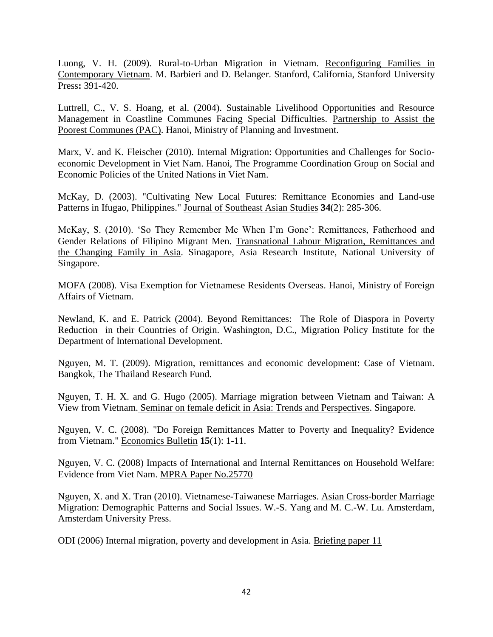Luong, V. H. (2009). Rural-to-Urban Migration in Vietnam. Reconfiguring Families in Contemporary Vietnam. M. Barbieri and D. Belanger. Stanford, California, Stanford University Press**:** 391-420.

Luttrell, C., V. S. Hoang, et al. (2004). Sustainable Livelihood Opportunities and Resource Management in Coastline Communes Facing Special Difficulties. Partnership to Assist the Poorest Communes (PAC). Hanoi, Ministry of Planning and Investment.

Marx, V. and K. Fleischer (2010). Internal Migration: Opportunities and Challenges for Socioeconomic Development in Viet Nam. Hanoi, The Programme Coordination Group on Social and Economic Policies of the United Nations in Viet Nam.

McKay, D. (2003). "Cultivating New Local Futures: Remittance Economies and Land-use Patterns in Ifugao, Philippines." Journal of Southeast Asian Studies **34**(2): 285-306.

McKay, S. (2010). 'So They Remember Me When I'm Gone': Remittances, Fatherhood and Gender Relations of Filipino Migrant Men. Transnational Labour Migration, Remittances and the Changing Family in Asia. Sinagapore, Asia Research Institute, National University of Singapore.

MOFA (2008). Visa Exemption for Vietnamese Residents Overseas. Hanoi, Ministry of Foreign Affairs of Vietnam.

Newland, K. and E. Patrick (2004). Beyond Remittances: The Role of Diaspora in Poverty Reduction in their Countries of Origin. Washington, D.C., Migration Policy Institute for the Department of International Development.

Nguyen, M. T. (2009). Migration, remittances and economic development: Case of Vietnam. Bangkok, The Thailand Research Fund.

Nguyen, T. H. X. and G. Hugo (2005). Marriage migration between Vietnam and Taiwan: A View from Vietnam. Seminar on female deficit in Asia: Trends and Perspectives. Singapore.

Nguyen, V. C. (2008). "Do Foreign Remittances Matter to Poverty and Inequality? Evidence from Vietnam." Economics Bulletin **15**(1): 1-11.

Nguyen, V. C. (2008) Impacts of International and Internal Remittances on Household Welfare: Evidence from Viet Nam. MPRA Paper No.25770

Nguyen, X. and X. Tran (2010). Vietnamese-Taiwanese Marriages. Asian Cross-border Marriage Migration: Demographic Patterns and Social Issues. W.-S. Yang and M. C.-W. Lu. Amsterdam, Amsterdam University Press.

ODI (2006) Internal migration, poverty and development in Asia. Briefing paper 11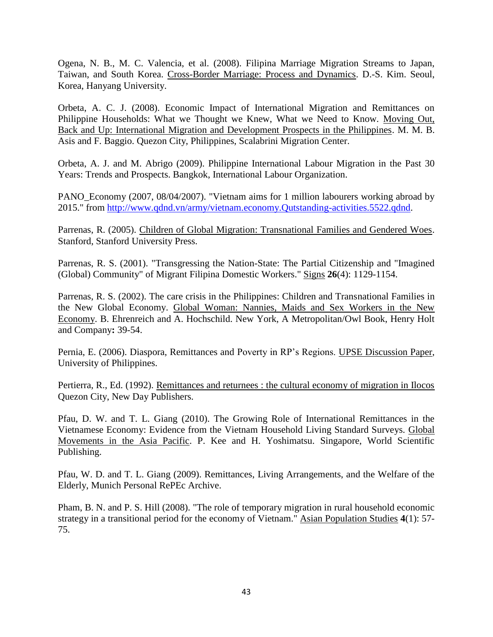Ogena, N. B., M. C. Valencia, et al. (2008). Filipina Marriage Migration Streams to Japan, Taiwan, and South Korea. Cross-Border Marriage: Process and Dynamics. D.-S. Kim. Seoul, Korea, Hanyang University.

Orbeta, A. C. J. (2008). Economic Impact of International Migration and Remittances on Philippine Households: What we Thought we Knew, What we Need to Know. Moving Out, Back and Up: International Migration and Development Prospects in the Philippines. M. M. B. Asis and F. Baggio. Quezon City, Philippines, Scalabrini Migration Center.

Orbeta, A. J. and M. Abrigo (2009). Philippine International Labour Migration in the Past 30 Years: Trends and Prospects. Bangkok, International Labour Organization.

PANO Economy (2007, 08/04/2007). "Vietnam aims for 1 million labourers working abroad by 2015." from [http://www.qdnd.vn/army/vietnam.economy.Qutstanding-activities.5522.qdnd.](http://www.qdnd.vn/army/vietnam.economy.Qutstanding-activities.5522.qdnd)

Parrenas, R. (2005). Children of Global Migration: Transnational Families and Gendered Woes. Stanford, Stanford University Press.

Parrenas, R. S. (2001). "Transgressing the Nation-State: The Partial Citizenship and "Imagined (Global) Community" of Migrant Filipina Domestic Workers." Signs **26**(4): 1129-1154.

Parrenas, R. S. (2002). The care crisis in the Philippines: Children and Transnational Families in the New Global Economy. Global Woman: Nannies, Maids and Sex Workers in the New Economy. B. Ehrenreich and A. Hochschild. New York, A Metropolitan/Owl Book, Henry Holt and Company**:** 39-54.

Pernia, E. (2006). Diaspora, Remittances and Poverty in RP's Regions. UPSE Discussion Paper, University of Philippines.

Pertierra, R., Ed. (1992). Remittances and returnees : the cultural economy of migration in Ilocos Quezon City, New Day Publishers.

Pfau, D. W. and T. L. Giang (2010). The Growing Role of International Remittances in the Vietnamese Economy: Evidence from the Vietnam Household Living Standard Surveys. Global Movements in the Asia Pacific. P. Kee and H. Yoshimatsu. Singapore, World Scientific Publishing.

Pfau, W. D. and T. L. Giang (2009). Remittances, Living Arrangements, and the Welfare of the Elderly, Munich Personal RePEc Archive.

Pham, B. N. and P. S. Hill (2008). "The role of temporary migration in rural household economic strategy in a transitional period for the economy of Vietnam." Asian Population Studies **4**(1): 57- 75.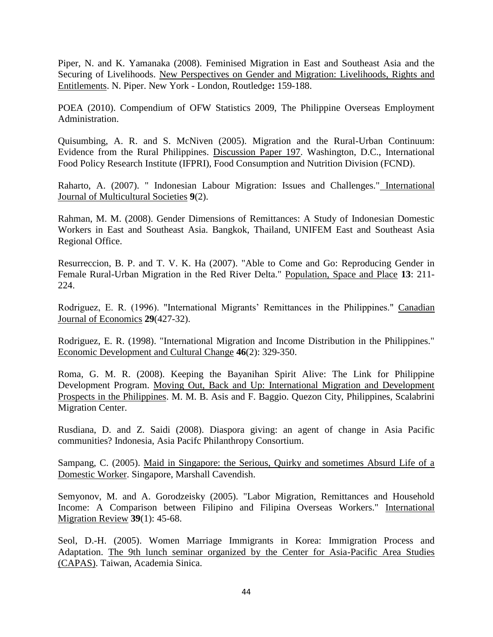Piper, N. and K. Yamanaka (2008). Feminised Migration in East and Southeast Asia and the Securing of Livelihoods. New Perspectives on Gender and Migration: Livelihoods, Rights and Entitlements. N. Piper. New York - London, Routledge**:** 159-188.

POEA (2010). Compendium of OFW Statistics 2009, The Philippine Overseas Employment Administration.

Quisumbing, A. R. and S. McNiven (2005). Migration and the Rural-Urban Continuum: Evidence from the Rural Philippines. Discussion Paper 197. Washington, D.C., International Food Policy Research Institute (IFPRI), Food Consumption and Nutrition Division (FCND).

Raharto, A. (2007). " Indonesian Labour Migration: Issues and Challenges." International Journal of Multicultural Societies **9**(2).

Rahman, M. M. (2008). Gender Dimensions of Remittances: A Study of Indonesian Domestic Workers in East and Southeast Asia. Bangkok, Thailand, UNIFEM East and Southeast Asia Regional Office.

Resurreccion, B. P. and T. V. K. Ha (2007). "Able to Come and Go: Reproducing Gender in Female Rural-Urban Migration in the Red River Delta." Population, Space and Place **13**: 211- 224.

Rodriguez, E. R. (1996). "International Migrants' Remittances in the Philippines." Canadian Journal of Economics **29**(427-32).

Rodriguez, E. R. (1998). "International Migration and Income Distribution in the Philippines." Economic Development and Cultural Change **46**(2): 329-350.

Roma, G. M. R. (2008). Keeping the Bayanihan Spirit Alive: The Link for Philippine Development Program. Moving Out, Back and Up: International Migration and Development Prospects in the Philippines. M. M. B. Asis and F. Baggio. Quezon City, Philippines, Scalabrini Migration Center.

Rusdiana, D. and Z. Saidi (2008). Diaspora giving: an agent of change in Asia Pacific communities? Indonesia, Asia Pacifc Philanthropy Consortium.

Sampang, C. (2005). Maid in Singapore: the Serious, Quirky and sometimes Absurd Life of a Domestic Worker. Singapore, Marshall Cavendish.

Semyonov, M. and A. Gorodzeisky (2005). "Labor Migration, Remittances and Household Income: A Comparison between Filipino and Filipina Overseas Workers." International Migration Review **39**(1): 45-68.

Seol, D.-H. (2005). Women Marriage Immigrants in Korea: Immigration Process and Adaptation. The 9th lunch seminar organized by the Center for Asia-Pacific Area Studies (CAPAS). Taiwan, Academia Sinica.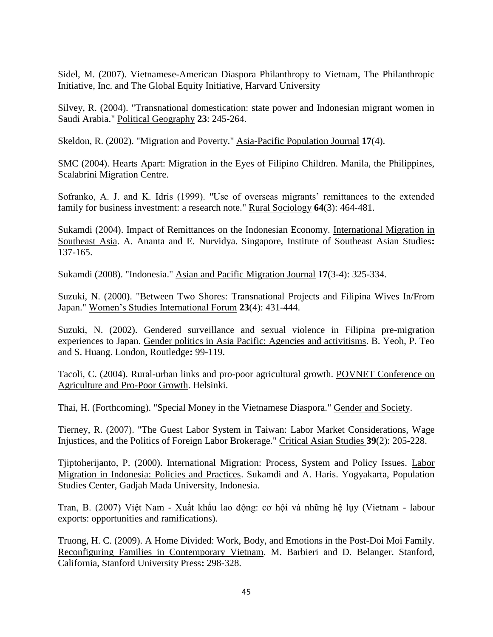Sidel, M. (2007). Vietnamese-American Diaspora Philanthropy to Vietnam, The Philanthropic Initiative, Inc. and The Global Equity Initiative, Harvard University

Silvey, R. (2004). "Transnational domestication: state power and Indonesian migrant women in Saudi Arabia." Political Geography **23**: 245-264.

Skeldon, R. (2002). "Migration and Poverty." Asia-Pacific Population Journal **17**(4).

SMC (2004). Hearts Apart: Migration in the Eyes of Filipino Children. Manila, the Philippines, Scalabrini Migration Centre.

Sofranko, A. J. and K. Idris (1999). "Use of overseas migrants' remittances to the extended family for business investment: a research note." Rural Sociology **64**(3): 464-481.

Sukamdi (2004). Impact of Remittances on the Indonesian Economy. International Migration in Southeast Asia. A. Ananta and E. Nurvidya. Singapore, Institute of Southeast Asian Studies**:**  137-165.

Sukamdi (2008). "Indonesia." Asian and Pacific Migration Journal **17**(3-4): 325-334.

Suzuki, N. (2000). "Between Two Shores: Transnational Projects and Filipina Wives In/From Japan." Women's Studies International Forum **23**(4): 431-444.

Suzuki, N. (2002). Gendered surveillance and sexual violence in Filipina pre-migration experiences to Japan. Gender politics in Asia Pacific: Agencies and activitisms. B. Yeoh, P. Teo and S. Huang. London, Routledge**:** 99-119.

Tacoli, C. (2004). Rural-urban links and pro-poor agricultural growth. POVNET Conference on Agriculture and Pro-Poor Growth. Helsinki.

Thai, H. (Forthcoming). "Special Money in the Vietnamese Diaspora." Gender and Society.

Tierney, R. (2007). "The Guest Labor System in Taiwan: Labor Market Considerations, Wage Injustices, and the Politics of Foreign Labor Brokerage." Critical Asian Studies **39**(2): 205-228.

Tjiptoherijanto, P. (2000). International Migration: Process, System and Policy Issues. Labor Migration in Indonesia: Policies and Practices. Sukamdi and A. Haris. Yogyakarta, Population Studies Center, Gadjah Mada University, Indonesia.

Tran, B. (2007) Việt Nam - Xuất khẩu lao động: cơ hội và những hệ lụy (Vietnam - labour exports: opportunities and ramifications).

Truong, H. C. (2009). A Home Divided: Work, Body, and Emotions in the Post-Doi Moi Family. Reconfiguring Families in Contemporary Vietnam. M. Barbieri and D. Belanger. Stanford, California, Stanford University Press**:** 298-328.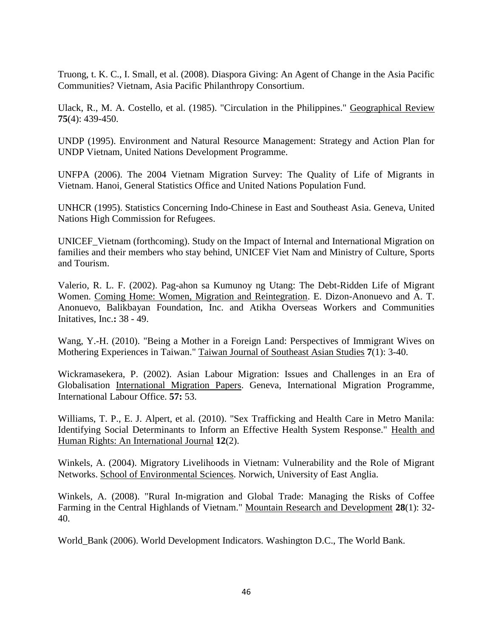Truong, t. K. C., I. Small, et al. (2008). Diaspora Giving: An Agent of Change in the Asia Pacific Communities? Vietnam, Asia Pacific Philanthropy Consortium.

Ulack, R., M. A. Costello, et al. (1985). "Circulation in the Philippines." Geographical Review **75**(4): 439-450.

UNDP (1995). Environment and Natural Resource Management: Strategy and Action Plan for UNDP Vietnam, United Nations Development Programme.

UNFPA (2006). The 2004 Vietnam Migration Survey: The Quality of Life of Migrants in Vietnam. Hanoi, General Statistics Office and United Nations Population Fund.

UNHCR (1995). Statistics Concerning Indo-Chinese in East and Southeast Asia. Geneva, United Nations High Commission for Refugees.

UNICEF\_Vietnam (forthcoming). Study on the Impact of Internal and International Migration on families and their members who stay behind, UNICEF Viet Nam and Ministry of Culture, Sports and Tourism.

Valerio, R. L. F. (2002). Pag-ahon sa Kumunoy ng Utang: The Debt-Ridden Life of Migrant Women. Coming Home: Women, Migration and Reintegration. E. Dizon-Anonuevo and A. T. Anonuevo, Balikbayan Foundation, Inc. and Atikha Overseas Workers and Communities Initatives, Inc.**:** 38 - 49.

Wang, Y.-H. (2010). "Being a Mother in a Foreign Land: Perspectives of Immigrant Wives on Mothering Experiences in Taiwan." Taiwan Journal of Southeast Asian Studies **7**(1): 3-40.

Wickramasekera, P. (2002). Asian Labour Migration: Issues and Challenges in an Era of Globalisation International Migration Papers. Geneva, International Migration Programme, International Labour Office. **57:** 53.

Williams, T. P., E. J. Alpert, et al. (2010). "Sex Trafficking and Health Care in Metro Manila: Identifying Social Determinants to Inform an Effective Health System Response." Health and Human Rights: An International Journal **12**(2).

Winkels, A. (2004). Migratory Livelihoods in Vietnam: Vulnerability and the Role of Migrant Networks. School of Environmental Sciences. Norwich, University of East Anglia.

Winkels, A. (2008). "Rural In-migration and Global Trade: Managing the Risks of Coffee Farming in the Central Highlands of Vietnam." Mountain Research and Development **28**(1): 32- 40.

World\_Bank (2006). World Development Indicators. Washington D.C., The World Bank.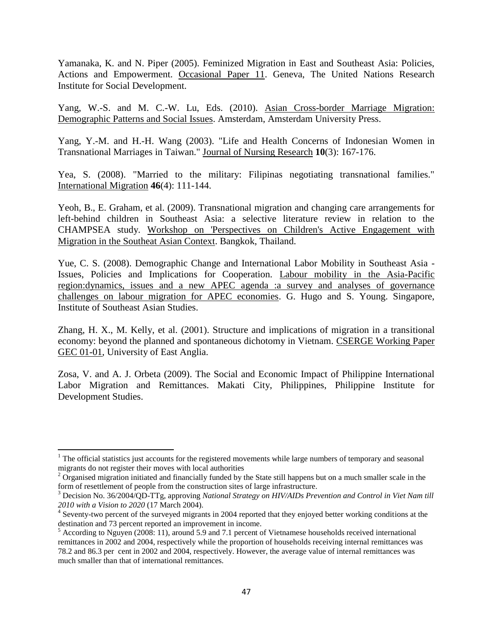Yamanaka, K. and N. Piper (2005). Feminized Migration in East and Southeast Asia: Policies, Actions and Empowerment. Occasional Paper 11. Geneva, The United Nations Research Institute for Social Development.

Yang, W.-S. and M. C.-W. Lu, Eds. (2010). Asian Cross-border Marriage Migration: Demographic Patterns and Social Issues. Amsterdam, Amsterdam University Press.

Yang, Y.-M. and H.-H. Wang (2003). "Life and Health Concerns of Indonesian Women in Transnational Marriages in Taiwan." Journal of Nursing Research **10**(3): 167-176.

Yea, S. (2008). "Married to the military: Filipinas negotiating transnational families." International Migration **46**(4): 111-144.

Yeoh, B., E. Graham, et al. (2009). Transnational migration and changing care arrangements for left-behind children in Southeast Asia: a selective literature review in relation to the CHAMPSEA study. Workshop on 'Perspectives on Children's Active Engagement with Migration in the Southeat Asian Context. Bangkok, Thailand.

Yue, C. S. (2008). Demographic Change and International Labor Mobility in Southeast Asia - Issues, Policies and Implications for Cooperation. Labour mobility in the Asia-Pacific region:dynamics, issues and a new APEC agenda :a survey and analyses of governance challenges on labour migration for APEC economies. G. Hugo and S. Young. Singapore, Institute of Southeast Asian Studies.

Zhang, H. X., M. Kelly, et al. (2001). Structure and implications of migration in a transitional economy: beyond the planned and spontaneous dichotomy in Vietnam. CSERGE Working Paper GEC 01-01, University of East Anglia.

Zosa, V. and A. J. Orbeta (2009). The Social and Economic Impact of Philippine International Labor Migration and Remittances. Makati City, Philippines, Philippine Institute for Development Studies.

 $\overline{\phantom{a}}$ 

 $1$  The official statistics just accounts for the registered movements while large numbers of temporary and seasonal migrants do not register their moves with local authorities

 $2$  Organised migration initiated and financially funded by the State still happens but on a much smaller scale in the form of resettlement of people from the construction sites of large infrastructure.

<sup>3</sup> Decision No. 36/2004/QD-TTg, approving *National Strategy on HIV/AIDs Prevention and Control in Viet Nam till 2010 with a Vision to 2020* (17 March 2004).

<sup>&</sup>lt;sup>4</sup> Seventy-two percent of the surveyed migrants in 2004 reported that they enjoyed better working conditions at the destination and 73 percent reported an improvement in income.

 $<sup>5</sup>$  According to Nguyen (2008: 11), around 5.9 and 7.1 percent of Vietnamese households received international</sup> remittances in 2002 and 2004, respectively while the proportion of households receiving internal remittances was 78.2 and 86.3 per cent in 2002 and 2004, respectively. However, the average value of internal remittances was much smaller than that of international remittances.